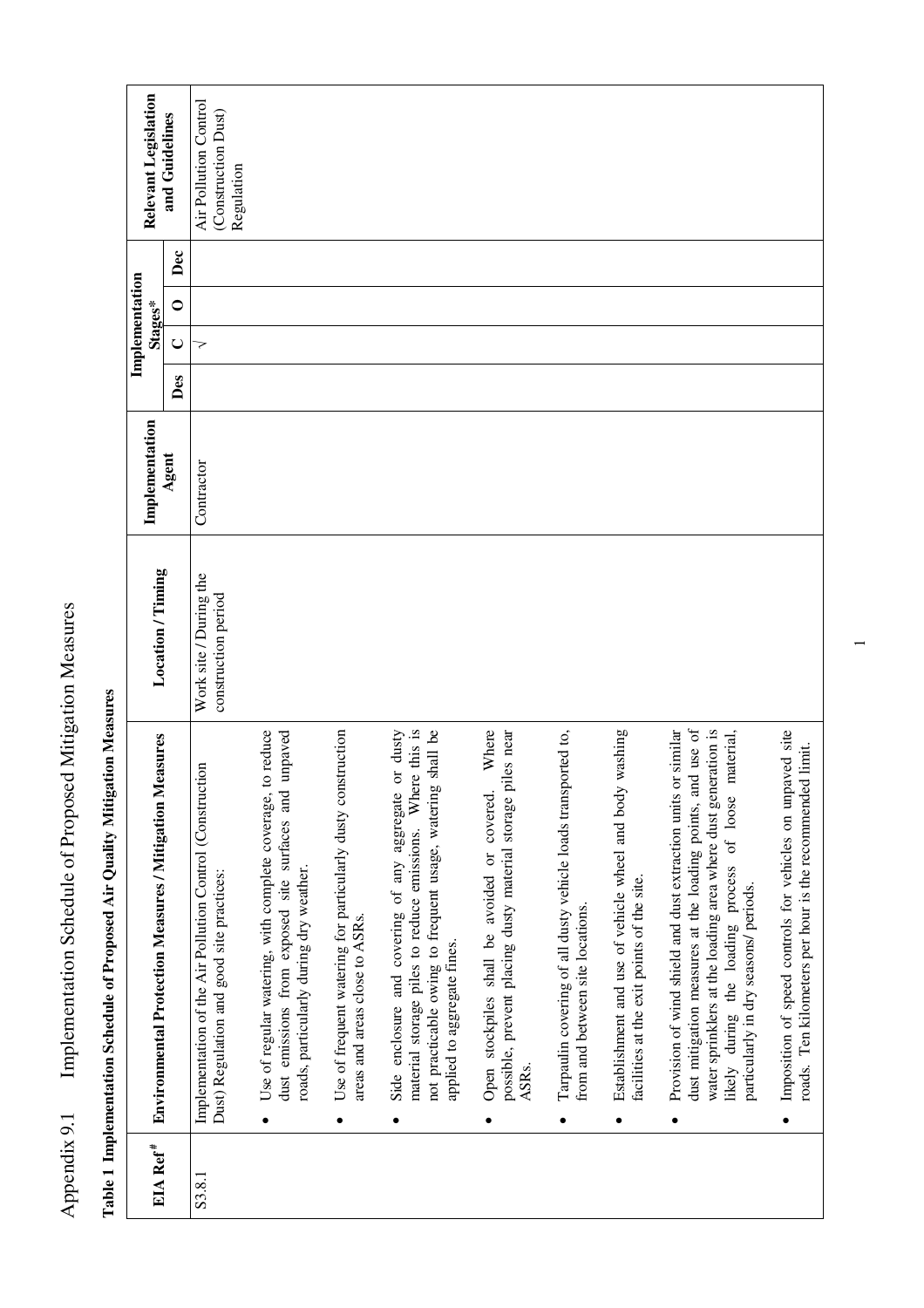| EIA Ref <sup>#</sup> | Environmental Protection Measures / Mitigation Measures                                                                                                                                                                                                                                          | Location / Timing                             | Implementation |     | Implementation<br>Stages* |                  | Relevant Legislation                                       |
|----------------------|--------------------------------------------------------------------------------------------------------------------------------------------------------------------------------------------------------------------------------------------------------------------------------------------------|-----------------------------------------------|----------------|-----|---------------------------|------------------|------------------------------------------------------------|
|                      |                                                                                                                                                                                                                                                                                                  |                                               | Agent          | Des | $\cup$                    | Dec<br>$\bullet$ | and Guidelines                                             |
| S3.8.1               | Implementation of the Air Pollution Control (Construction<br>Dust) Regulation and good site practices:                                                                                                                                                                                           | Work site / During the<br>construction period | Contractor     |     | 7                         |                  | Air Pollution Control<br>(Construction Dust)<br>Regulation |
|                      | Use of regular watering, with complete coverage, to reduce<br>unpaved<br>dust emissions from exposed site surfaces and<br>roads, particularly during dry weather.                                                                                                                                |                                               |                |     |                           |                  |                                                            |
|                      | Use of frequent watering for particularly dusty construction<br>areas and areas close to ASRs.<br>٠                                                                                                                                                                                              |                                               |                |     |                           |                  |                                                            |
|                      | material storage piles to reduce emissions. Where this is<br>Side enclosure and covering of any aggregate or dusty<br>shall be<br>not practicable owing to frequent usage, watering<br>applied to aggregate fines.<br>٠                                                                          |                                               |                |     |                           |                  |                                                            |
|                      | Where<br>possible, prevent placing dusty material storage piles near<br>Open stockpiles shall be avoided or covered.<br>ASRs.                                                                                                                                                                    |                                               |                |     |                           |                  |                                                            |
|                      | Tarpaulin covering of all dusty vehicle loads transported to,<br>from and between site locations.                                                                                                                                                                                                |                                               |                |     |                           |                  |                                                            |
|                      | washing<br>Establishment and use of vehicle wheel and body<br>facilities at the exit points of the site.                                                                                                                                                                                         |                                               |                |     |                           |                  |                                                            |
|                      | dust mitigation measures at the loading points, and use of<br>Provision of wind shield and dust extraction units or similar<br>water sprinklers at the loading area where dust generation is<br>naterial,<br>likely during the loading process of loose<br>particularly in dry seasons/ periods. |                                               |                |     |                           |                  |                                                            |
|                      | Imposition of speed controls for vehicles on unpaved site<br>roads. Ten kilometers per hour is the recommended limit.                                                                                                                                                                            |                                               |                |     |                           |                  |                                                            |

Table 1 Implementation Schedule of Proposed Air Quality Mitigation Measures **Table 1 Implementation Schedule of Proposed Air Quality Mitigation Measures** 

Appendix 9.1 Implementation Schedule of Proposed Mitigation Measures

Appendix 9.1 Implementation Schedule of Proposed Mitigation Measures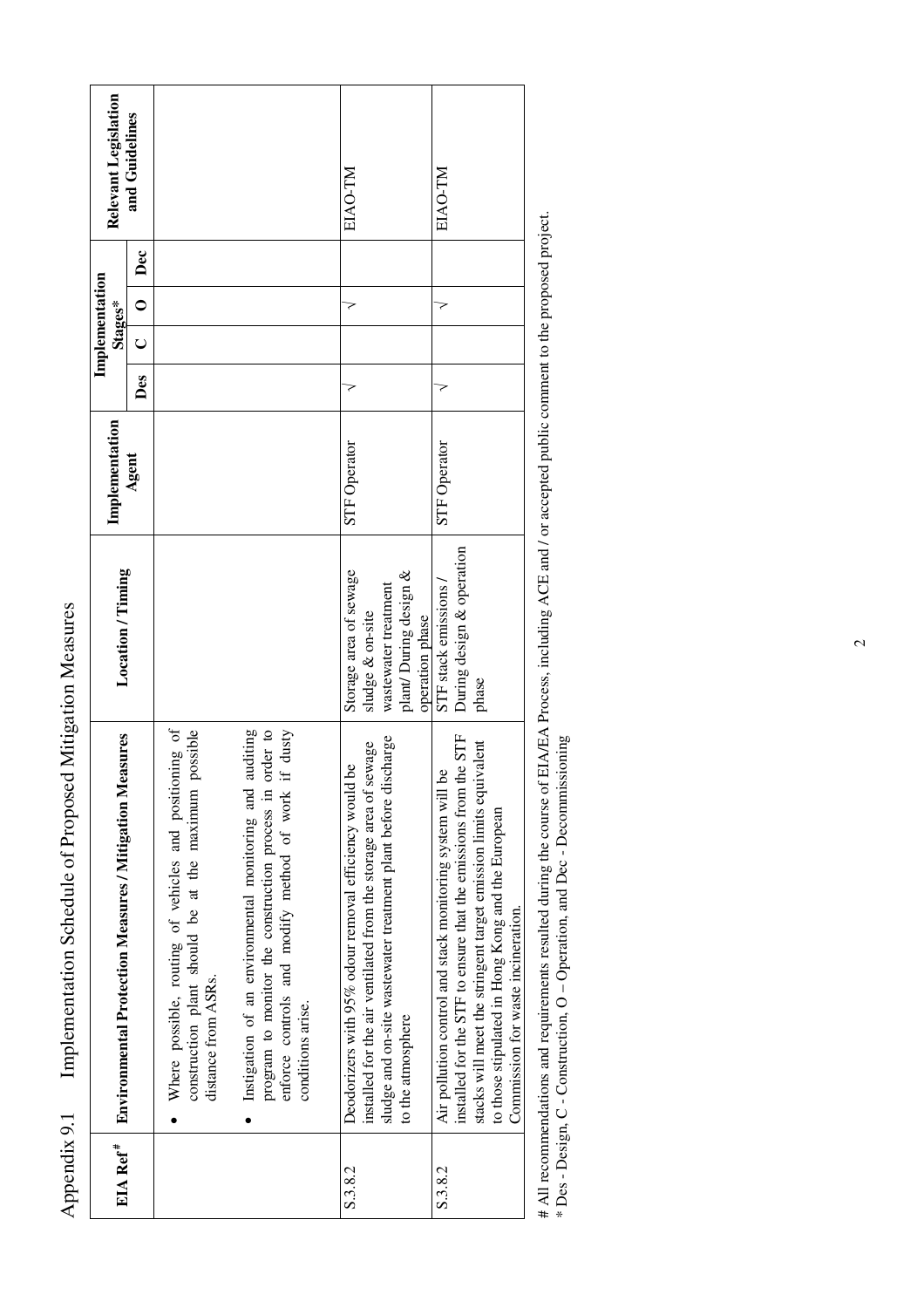| EIA Ref <sup>#</sup> | Environmental Protection Measures / Mitigation Measures                                                                                                                                                                                                                                            | Location / Timing                                                                           | Implementation      |     | Implementation<br>Stages* |     | Relevant Legislation |
|----------------------|----------------------------------------------------------------------------------------------------------------------------------------------------------------------------------------------------------------------------------------------------------------------------------------------------|---------------------------------------------------------------------------------------------|---------------------|-----|---------------------------|-----|----------------------|
|                      |                                                                                                                                                                                                                                                                                                    |                                                                                             | Agent               | Des | $\bullet$<br>Ő            | Dec | and Guidelines       |
|                      | Where possible, routing of vehicles and positioning of<br>possible<br>construction plant should be at the maximum<br>distance from ASRs.                                                                                                                                                           |                                                                                             |                     |     |                           |     |                      |
|                      | order to<br>if dusty<br>auditing<br>Instigation of an environmental monitoring and<br>program to monitor the construction process in<br>enforce controls and modify method of work<br>conditions arise.                                                                                            |                                                                                             |                     |     |                           |     |                      |
| S.3.8.2              | sludge and on-site wastewater treatment plant before discharge<br>installed for the air ventilated from the storage area of sewage<br>Deodorizers with 95% odour removal efficiency would be<br>to the atmosphere                                                                                  | Storage area of sewage<br>plant/During design &<br>wastewater treatment<br>sludge & on-site | <b>STF Operator</b> | 7   | 7                         |     | EIAO-TM              |
| S.3.8.2              | the STF<br>stacks will meet the stringent target emission limits equivalent<br>g<br>installed for the STF to ensure that the emissions from t<br>Air pollution control and stack monitoring system will<br>to those stipulated in Hong Kong and the European<br>Commission for waste incineration. | During design & operation<br>STF stack emissions /<br>operation phase<br>phase              | <b>STF Operator</b> | 7   | 7                         |     | EIAO-TM              |
|                      |                                                                                                                                                                                                                                                                                                    |                                                                                             |                     |     |                           |     |                      |

Appendix 9.1 Implementation Schedule of Proposed Mitigation Measures

Appendix 9.1

Implementation Schedule of Proposed Mitigation Measures

# All recommendations and requirements resulted during the course of EIA/EA Process, including ACE and / or accepted public comment to the proposed project.<br>\* Des - Design, C - Construction, O – Operation, and Dec - Decomm # All recommendations and requirements resulted during the course of EIA/EA Process, including ACE and / or accepted public comment to the proposed project. \* Des - Design, C - Construction, O – Operation, and Dec - Decommissioning

 $\overline{c}$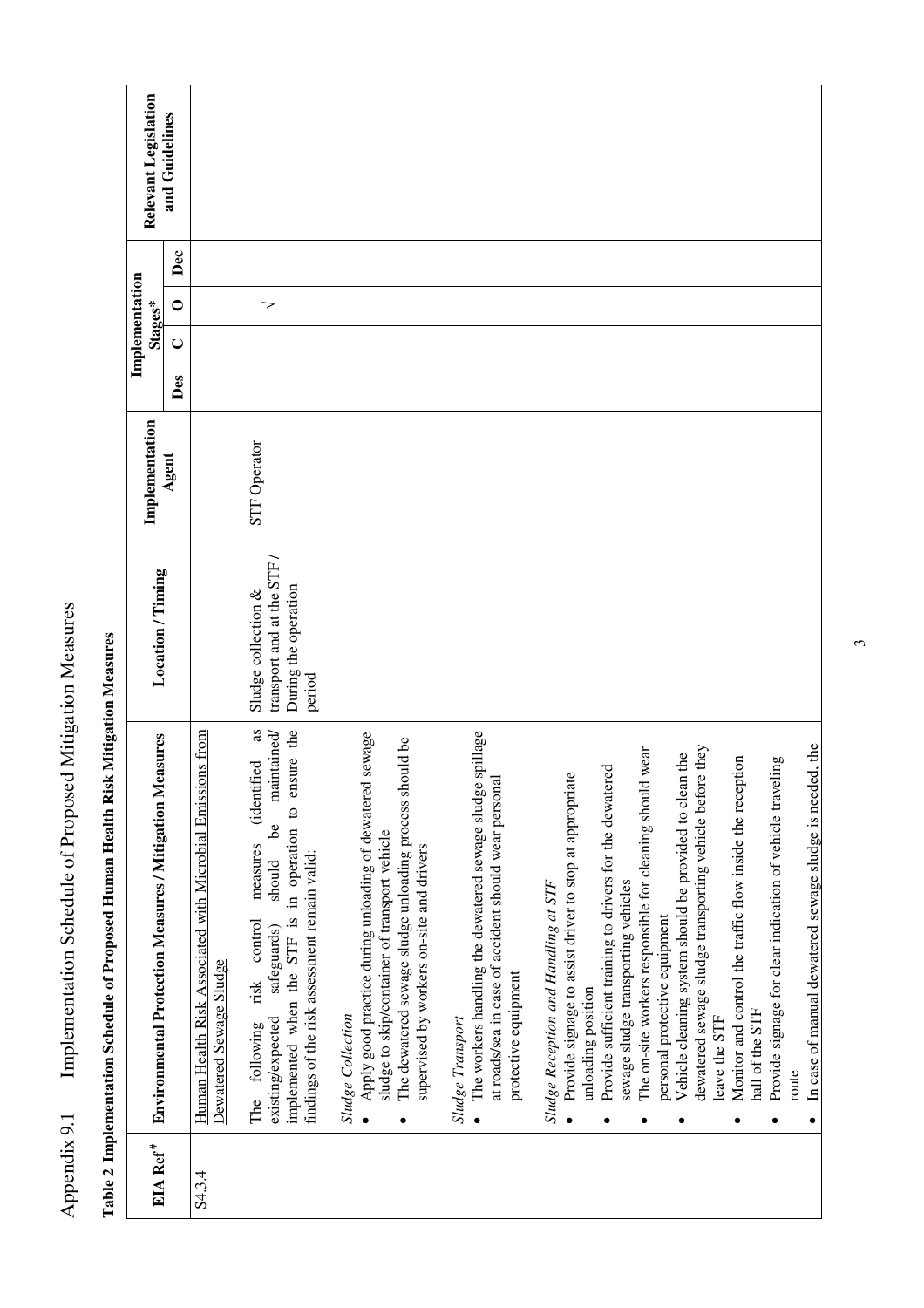| Relevant Legislation                                                | and Guidelines |                                                                                           |                                                                                                                                                                                                                                                |                                                                                                                                                                                                                                        |                                                                                                                                                                             |                                                                                                                                                                                                                                       |                                                                                                                                                                                                                  |                                                                                                                                                                     |                                                                       |
|---------------------------------------------------------------------|----------------|-------------------------------------------------------------------------------------------|------------------------------------------------------------------------------------------------------------------------------------------------------------------------------------------------------------------------------------------------|----------------------------------------------------------------------------------------------------------------------------------------------------------------------------------------------------------------------------------------|-----------------------------------------------------------------------------------------------------------------------------------------------------------------------------|---------------------------------------------------------------------------------------------------------------------------------------------------------------------------------------------------------------------------------------|------------------------------------------------------------------------------------------------------------------------------------------------------------------------------------------------------------------|---------------------------------------------------------------------------------------------------------------------------------------------------------------------|-----------------------------------------------------------------------|
|                                                                     | Dec            |                                                                                           |                                                                                                                                                                                                                                                |                                                                                                                                                                                                                                        |                                                                                                                                                                             |                                                                                                                                                                                                                                       |                                                                                                                                                                                                                  |                                                                                                                                                                     |                                                                       |
| Implementation<br>Stages*                                           | $\bullet$      |                                                                                           | $\overline{\phantom{a}}$                                                                                                                                                                                                                       |                                                                                                                                                                                                                                        |                                                                                                                                                                             |                                                                                                                                                                                                                                       |                                                                                                                                                                                                                  |                                                                                                                                                                     |                                                                       |
|                                                                     | $\cup$         |                                                                                           |                                                                                                                                                                                                                                                |                                                                                                                                                                                                                                        |                                                                                                                                                                             |                                                                                                                                                                                                                                       |                                                                                                                                                                                                                  |                                                                                                                                                                     |                                                                       |
|                                                                     | Des            |                                                                                           |                                                                                                                                                                                                                                                |                                                                                                                                                                                                                                        |                                                                                                                                                                             |                                                                                                                                                                                                                                       |                                                                                                                                                                                                                  |                                                                                                                                                                     |                                                                       |
| Implementation                                                      | Agent          |                                                                                           | STF Operator                                                                                                                                                                                                                                   |                                                                                                                                                                                                                                        |                                                                                                                                                                             |                                                                                                                                                                                                                                       |                                                                                                                                                                                                                  |                                                                                                                                                                     |                                                                       |
| Location / Timing                                                   |                |                                                                                           | transport and at the STF /<br>During the operation<br>Sludge collection &<br>period                                                                                                                                                            |                                                                                                                                                                                                                                        |                                                                                                                                                                             |                                                                                                                                                                                                                                       |                                                                                                                                                                                                                  |                                                                                                                                                                     |                                                                       |
| leasures<br><b>Environmental Protection Measures / Mitigation M</b> |                | ons from<br>Human Health Risk Associated with Microbial Emissi<br>Dewatered Sewage Sludge | implemented when the STF is in operation to ensure the<br>as<br>maintained<br>(identified<br>ತಿ<br>measures<br>findings of the risk assessment remain valid:<br>should<br>control<br>safeguards)<br>risk<br>existing/expected<br>The following | Apply good practice during unloading of dewatered sewage<br>The dewatered sewage sludge unloading process should be<br>sludge to skip/container of transport vehicle<br>supervised by workers on-site and drivers<br>Sludge Collection | The workers handling the dewatered sewage sludge spillage<br>at roads/sea in case of accident should wear personal<br>protective equipment<br>Sludge Transport<br>$\bullet$ | Provide sufficient training to drivers for the dewatered<br>Provide signage to assist driver to stop at appropriate<br>sewage sludge transporting vehicles<br>Sludge Reception and Handling at STF<br>unloading position<br>$\bullet$ | dewatered sewage sludge transporting vehicle before they<br>The on-site workers responsible for cleaning should wear<br>Vehicle cleaning system should be provided to clean the<br>personal protective equipment | Monitor and control the traffic flow inside the reception<br>Provide signage for clear indication of vehicle traveling<br>hall of the STF<br>leave the STF<br>route | In case of manual dewatered sewage sludge is needed, the<br>$\bullet$ |
| EIA Ref <sup>#</sup>                                                |                | S4.3.4                                                                                    |                                                                                                                                                                                                                                                |                                                                                                                                                                                                                                        |                                                                                                                                                                             |                                                                                                                                                                                                                                       |                                                                                                                                                                                                                  |                                                                                                                                                                     |                                                                       |

Table 2 Implementation Schedule of Proposed Human Health Risk Mitigation Measures **Table 2 Implementation Schedule of Proposed Human Health Risk Mitigation Measures** 

Appendix 9.1 Implementation Schedule of Proposed Mitigation Measures

Appendix 9.1 Implementation Schedule of Proposed Mitigation Measures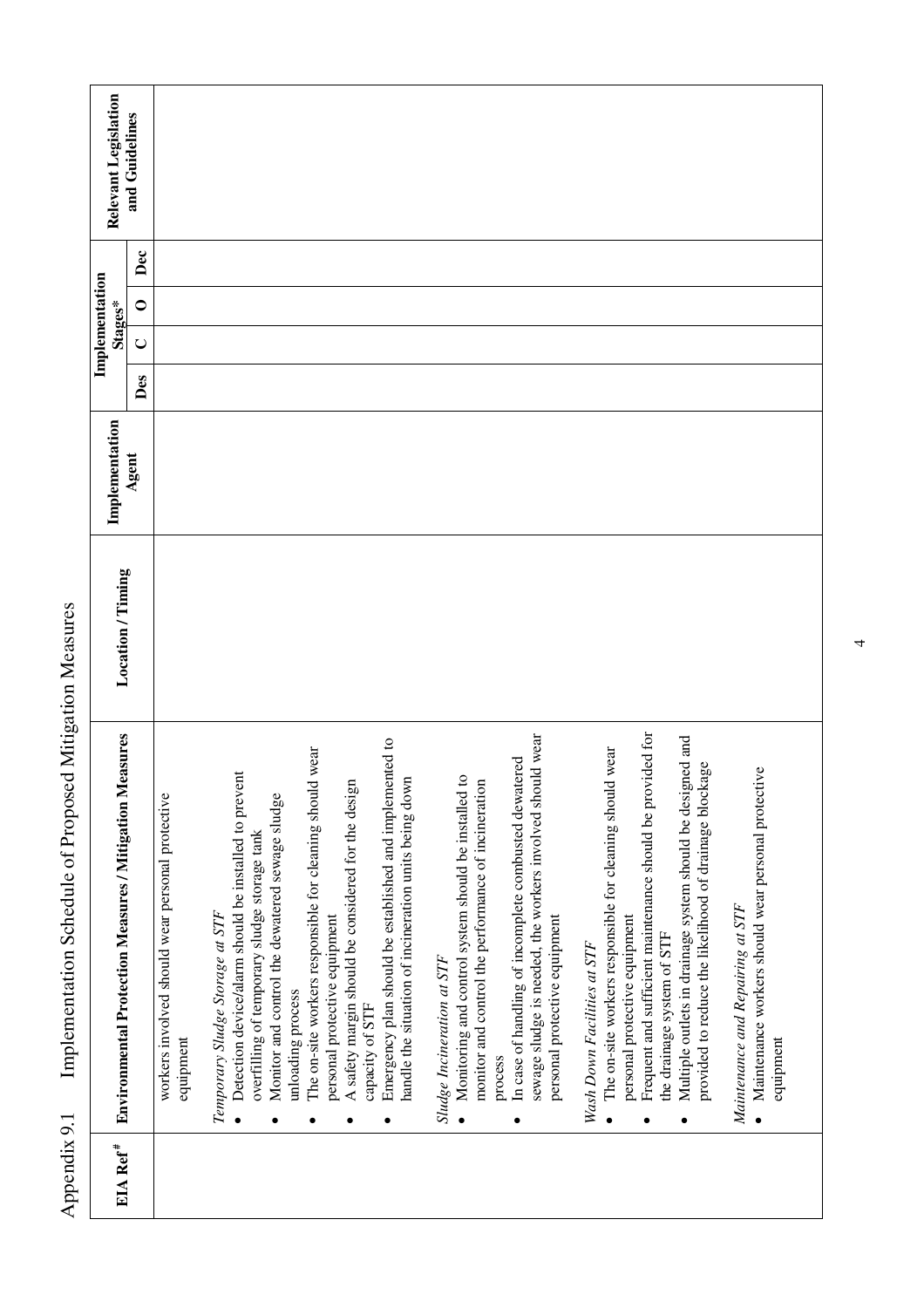| EIA Ref <sup>#</sup> | leasures<br><b>Environmental Protection Measures / Mitigation M</b>                                                                                                                                                                                                                                                                          | Location / Timing | Implementation |     | Implementation<br>Stages* |                  | Relevant Legislation |
|----------------------|----------------------------------------------------------------------------------------------------------------------------------------------------------------------------------------------------------------------------------------------------------------------------------------------------------------------------------------------|-------------------|----------------|-----|---------------------------|------------------|----------------------|
|                      |                                                                                                                                                                                                                                                                                                                                              |                   | Agent          | Des | $\cup$                    | Dec<br>$\bullet$ | and Guidelines       |
|                      | workers involved should wear personal protective<br>equipment                                                                                                                                                                                                                                                                                |                   |                |     |                           |                  |                      |
|                      | Detection device/alarm should be installed to prevent<br>Temporary Sludge Storage at STF<br>$\bullet$                                                                                                                                                                                                                                        |                   |                |     |                           |                  |                      |
|                      | Monitor and control the dewatered sewage sludge<br>overfilling of temporary sludge storage tank                                                                                                                                                                                                                                              |                   |                |     |                           |                  |                      |
|                      | The on-site workers responsible for cleaning should wear<br>personal protective equipment<br>unloading process                                                                                                                                                                                                                               |                   |                |     |                           |                  |                      |
|                      | A safety margin should be considered for the design<br>capacity of STF                                                                                                                                                                                                                                                                       |                   |                |     |                           |                  |                      |
|                      | Emergency plan should be established and implemented to<br>handle the situation of incineration units being down                                                                                                                                                                                                                             |                   |                |     |                           |                  |                      |
|                      | $\overline{c}$<br>monitor and control the performance of incineration<br>Monitoring and control system should be installed<br>Sludge Incineration at STF<br>process<br>$\bullet$                                                                                                                                                             |                   |                |     |                           |                  |                      |
|                      | sewage sludge is needed, the workers involved should wear<br>In case of handling of incomplete combusted dewatered<br>personal protective equipment                                                                                                                                                                                          |                   |                |     |                           |                  |                      |
|                      | Frequent and sufficient maintenance should be provided for<br>Multiple outlets in drainage system should be designed and<br>The on-site workers responsible for cleaning should wear<br>provided to reduce the likelihood of drainage blockage<br>personal protective equipment<br>the drainage system of STF<br>Wash Down Facilities at STF |                   |                |     |                           |                  |                      |
|                      | Maintenance workers should wear personal protective<br>Maintenance and Repairing at STF<br>equipment<br>$\bullet$                                                                                                                                                                                                                            |                   |                |     |                           |                  |                      |
|                      |                                                                                                                                                                                                                                                                                                                                              |                   |                |     |                           |                  |                      |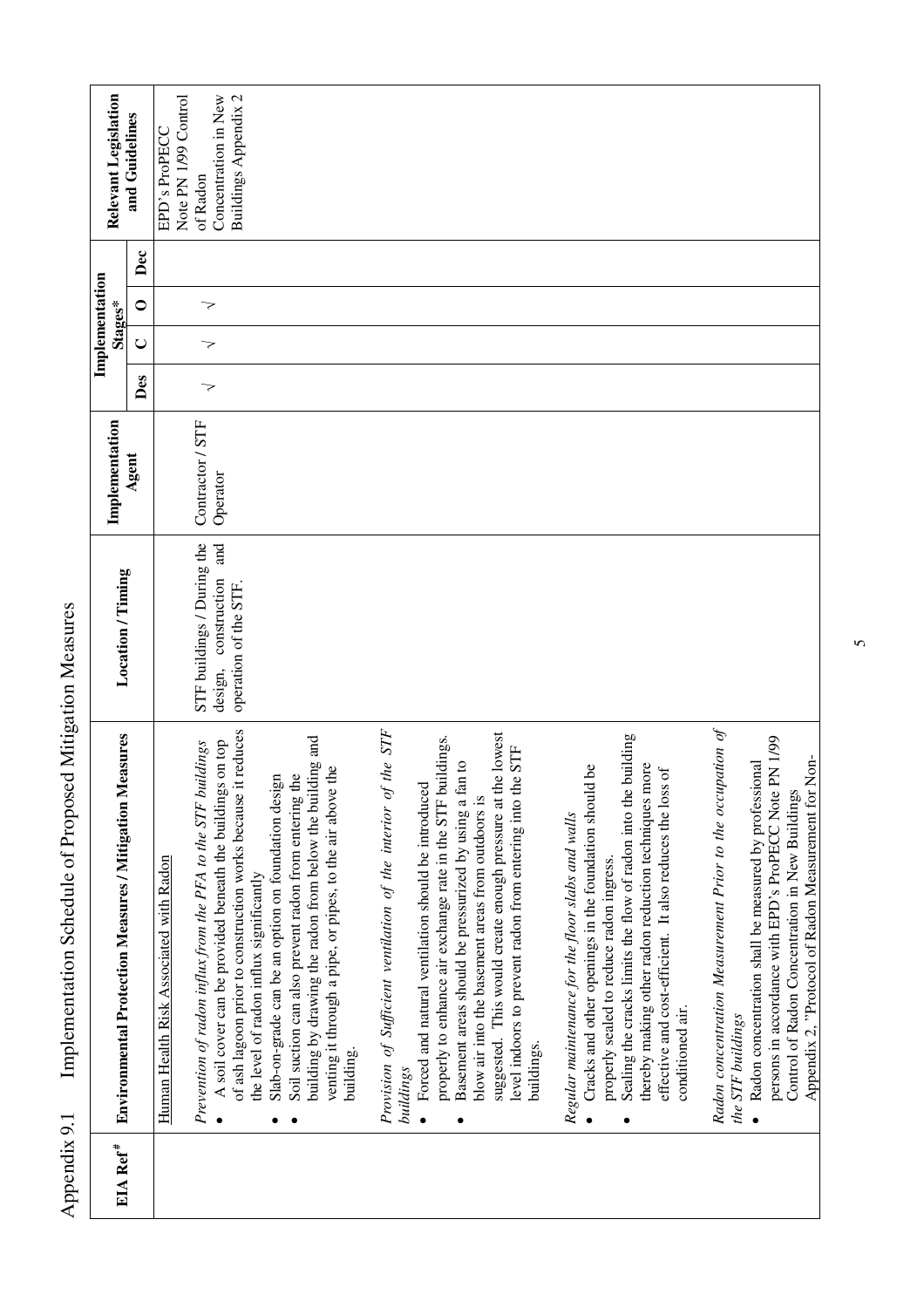| EIA Ref <sup>#</sup> | <b>Environmental Protection Measures / Mitigation Measures</b>                                                                      | Location / Timing                                         | Implementation               |     | Stages* | Implementation |     | Relevant Legislation                  |
|----------------------|-------------------------------------------------------------------------------------------------------------------------------------|-----------------------------------------------------------|------------------------------|-----|---------|----------------|-----|---------------------------------------|
|                      |                                                                                                                                     |                                                           | Agent                        | Des | $\cup$  | 0              | Dec | and Guidelines                        |
|                      | Human Health Risk Associated with Radon                                                                                             |                                                           |                              |     |         |                |     | Note PN 1/99 Control<br>EPD's ProPECC |
|                      | A soil cover can be provided beneath the buildings on top<br><i>dings</i><br>Prevention of radon influx from the PFA to the STF bui | STF buildings / During the<br>and<br>design, construction | Contractor / STF<br>Operator | 7   | 7       | 7              |     | Concentration in New<br>of Radon      |
|                      | of ash lagoon prior to construction works because it reduces<br>the level of radon influx significantly                             | operation of the STF.                                     |                              |     |         |                |     | Buildings Appendix 2                  |
|                      | Slab-on-grade can be an option on foundation design<br>$\bullet$                                                                    |                                                           |                              |     |         |                |     |                                       |
|                      | building by drawing the radon from below the building and<br>Soil suction can also prevent radon from entering the<br>$\bullet$     |                                                           |                              |     |         |                |     |                                       |
|                      | venting it through a pipe, or pipes, to the air above the<br>building.                                                              |                                                           |                              |     |         |                |     |                                       |
|                      | Provision of Sufficient ventilation of the interior of the STF<br>buildings                                                         |                                                           |                              |     |         |                |     |                                       |
|                      | • Forced and natural ventilation should be introduced                                                                               |                                                           |                              |     |         |                |     |                                       |
|                      | properly to enhance air exchange rate in the STF buildings.<br>Basement areas should be pressurized by using a fan to               |                                                           |                              |     |         |                |     |                                       |
|                      | blow air into the basement areas from outdoors is                                                                                   |                                                           |                              |     |         |                |     |                                       |
|                      | suggested. This would create enough pressure at the lowest<br><b>STF</b><br>level indoors to prevent radon from entering into the   |                                                           |                              |     |         |                |     |                                       |
|                      | buildings                                                                                                                           |                                                           |                              |     |         |                |     |                                       |
|                      | Regular maintenance for the floor slabs and walls                                                                                   |                                                           |                              |     |         |                |     |                                       |
|                      | ەم<br>Cracks and other openings in the foundation should<br>properly sealed to reduce radon ingress.                                |                                                           |                              |     |         |                |     |                                       |
|                      | Sealing the cracks limits the flow of radon into the building                                                                       |                                                           |                              |     |         |                |     |                                       |
|                      | thereby making other radon reduction techniques more                                                                                |                                                           |                              |     |         |                |     |                                       |
|                      | $\sigma$<br>effective and cost-efficient. It also reduces the loss<br>conditioned air.                                              |                                                           |                              |     |         |                |     |                                       |
|                      | Radon concentration Measurement Prior to the occupation of                                                                          |                                                           |                              |     |         |                |     |                                       |
|                      | the STF buildings                                                                                                                   |                                                           |                              |     |         |                |     |                                       |
|                      | Radon concentration shall be measured by professional                                                                               |                                                           |                              |     |         |                |     |                                       |
|                      | N <sub>1/99</sub><br>persons in accordance with EPD's ProPECC Note P                                                                |                                                           |                              |     |         |                |     |                                       |
|                      | Appendix 2, "Protocol of Radon Measurement for Non-<br>Control of Radon Concentration in New Buildings                              |                                                           |                              |     |         |                |     |                                       |

 $\overline{5}$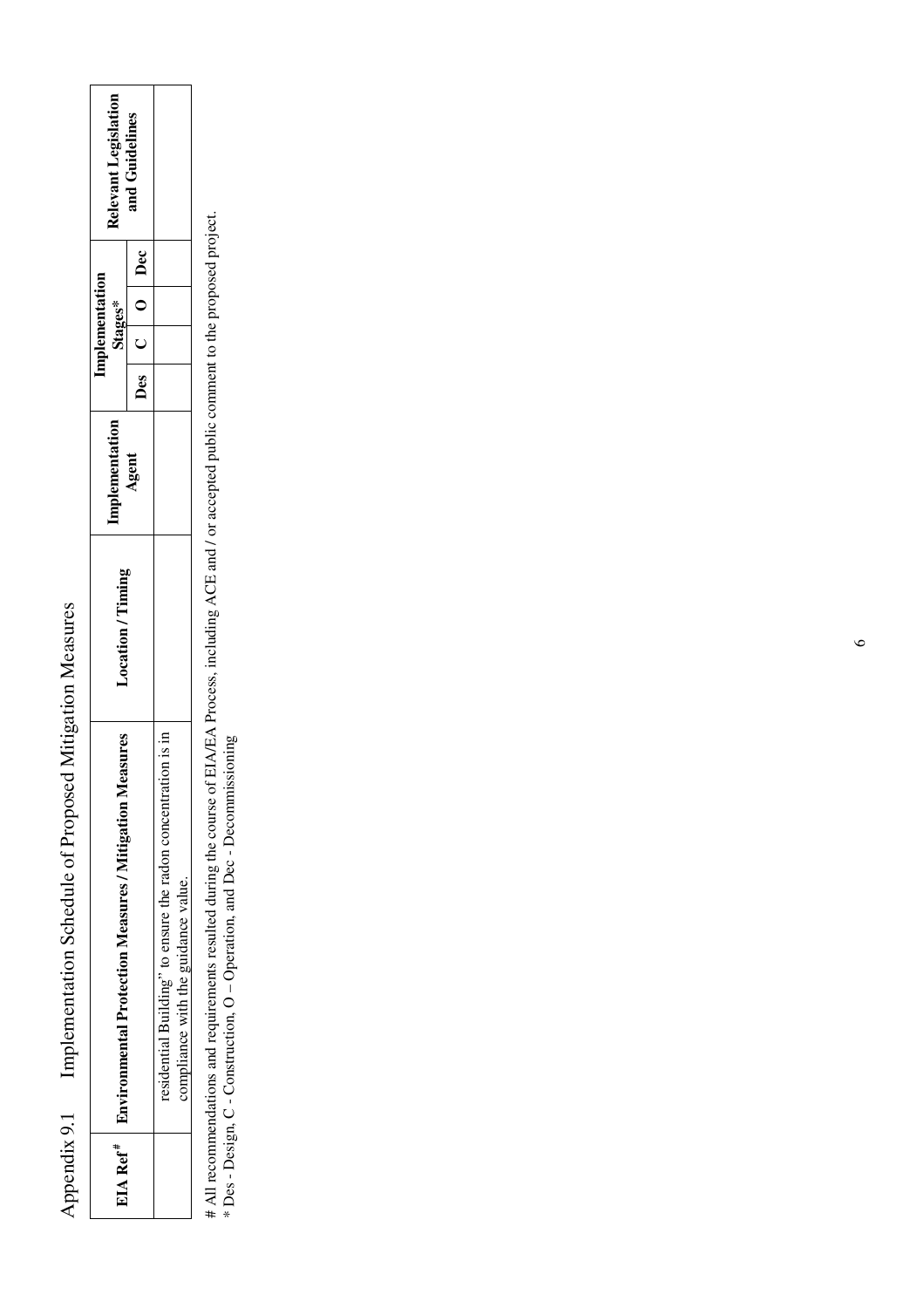| Appendix 9.1 | Implementation Schedule of Proposed                                            | Mitigation Measures |               |                          |                      |
|--------------|--------------------------------------------------------------------------------|---------------------|---------------|--------------------------|----------------------|
|              | EIA Ref <sup>#</sup>   Environmental Protection Measures / Mitigation Measures | Location / Timing   | mplementation | mplementation<br>Stages* | Relevant Legislation |
|              |                                                                                |                     | Agent         | Des   C   Dec            | and Guidelines       |
|              | residential Building" to ensure the radon concentration is in                  |                     |               |                          |                      |
|              | compliance with the guidance value.                                            |                     |               |                          |                      |

# All recommendations and requirements resulted during the course of EIA/EA Process, including ACE and / or accepted public comment to the proposed project.<br>\* Des - Design, C - Construction, O – Operation, and Dec - Decomm # All recommendations and requirements resulted during the course of EIA/EA Process, including ACE and / or accepted public comment to the proposed project.

\* Des - Design, C - Construction, O – Operation, and Dec - Decommissioning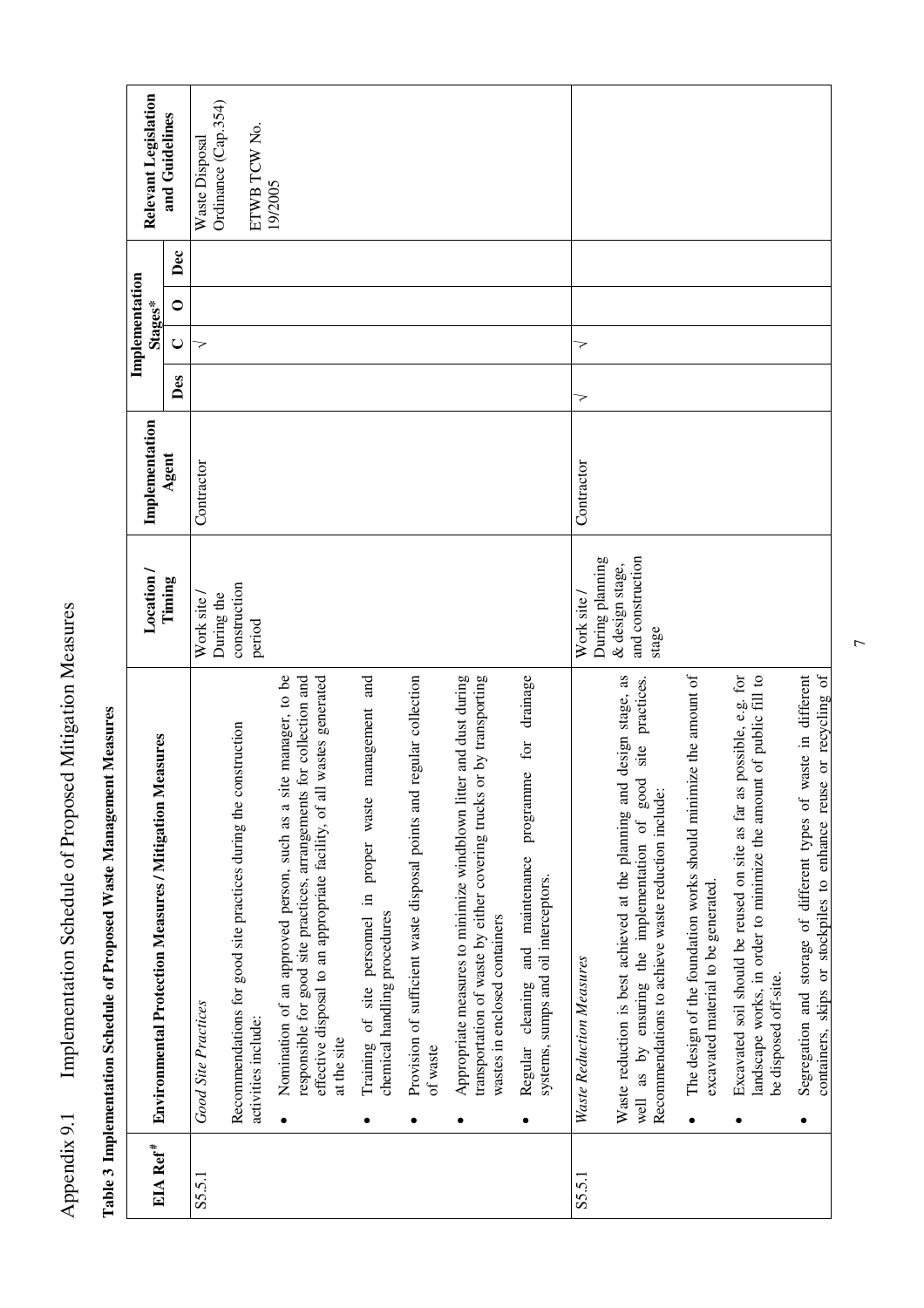| EIA Ref <sup>#</sup> | <b>Environmental Protection Measures / Mitigation Measures</b>                                                                                                                                                                                          | Location /                                   | Implementation |     | Implementation<br>Stages* |                  | Relevant Legislation                  |
|----------------------|---------------------------------------------------------------------------------------------------------------------------------------------------------------------------------------------------------------------------------------------------------|----------------------------------------------|----------------|-----|---------------------------|------------------|---------------------------------------|
|                      |                                                                                                                                                                                                                                                         | Timing                                       | Agent          | Des | $\cup$                    | Dec<br>$\bullet$ | and Guidelines                        |
| S5.5.1               | <b>Good Site Practices</b>                                                                                                                                                                                                                              | During the<br>Work site                      | Contractor     |     | マ                         |                  | Ordinance (Cap.354)<br>Waste Disposal |
|                      | Recommendations for good site practices during the construction<br>activities include:                                                                                                                                                                  | construction<br>period                       |                |     |                           |                  | ETWB TCW No.                          |
|                      | te manager, to be<br>for collection and<br>wastes generated<br>effective disposal to an appropriate facility, of all<br>Nomination of an approved person, such as a si<br>responsible for good site practices, arrangements<br>at the site<br>$\bullet$ |                                              |                |     |                           |                  | 19/2005                               |
|                      | management and<br>Training of site personnel in proper waste<br>chemical handling procedures                                                                                                                                                            |                                              |                |     |                           |                  |                                       |
|                      | regular collection<br>Provision of sufficient waste disposal points and<br>of waste<br>$\bullet$                                                                                                                                                        |                                              |                |     |                           |                  |                                       |
|                      | Appropriate measures to minimize windblown litter and dust during<br>or by transporting<br>transportation of waste by either covering trucks<br>wastes in enclosed containers<br>٠                                                                      |                                              |                |     |                           |                  |                                       |
|                      | drainage<br>and maintenance programme for<br>systems, sumps and oil interceptors.<br>Regular cleaning<br>٠                                                                                                                                              |                                              |                |     |                           |                  |                                       |
| S5.5.1               | Waste Reduction Measures                                                                                                                                                                                                                                | During planning<br>Work site /               | Contractor     | 7   | 7                         |                  |                                       |
|                      | Waste reduction is best achieved at the planning and design stage, as<br>practices.<br>good site<br>Recommendations to achieve waste reduction include:<br>as by ensuring the implementation of<br>well                                                 | and construction<br>& design stage,<br>stage |                |     |                           |                  |                                       |
|                      | The design of the foundation works should minimize the amount of<br>excavated material to be generated<br>$\bullet$                                                                                                                                     |                                              |                |     |                           |                  |                                       |
|                      | possible, e.g. for<br>landscape works, in order to minimize the amount of public fill to<br>Excavated soil should be reused on site as far as<br>be disposed off-site.                                                                                  |                                              |                |     |                           |                  |                                       |
|                      | containers, skips or stockpiles to enhance reuse or recycling of<br>Segregation and storage of different types of waste in different<br>٠                                                                                                               |                                              |                |     |                           |                  |                                       |

Table 3 Implementation Schedule of Proposed Waste Management Measures **Table 3 Implementation Schedule of Proposed Waste Management Measures** 

Appendix 9.1 Implementation Schedule of Proposed Mitigation Measures

Appendix 9.1 Implementation Schedule of Proposed Mitigation Measures

 $\overline{7}$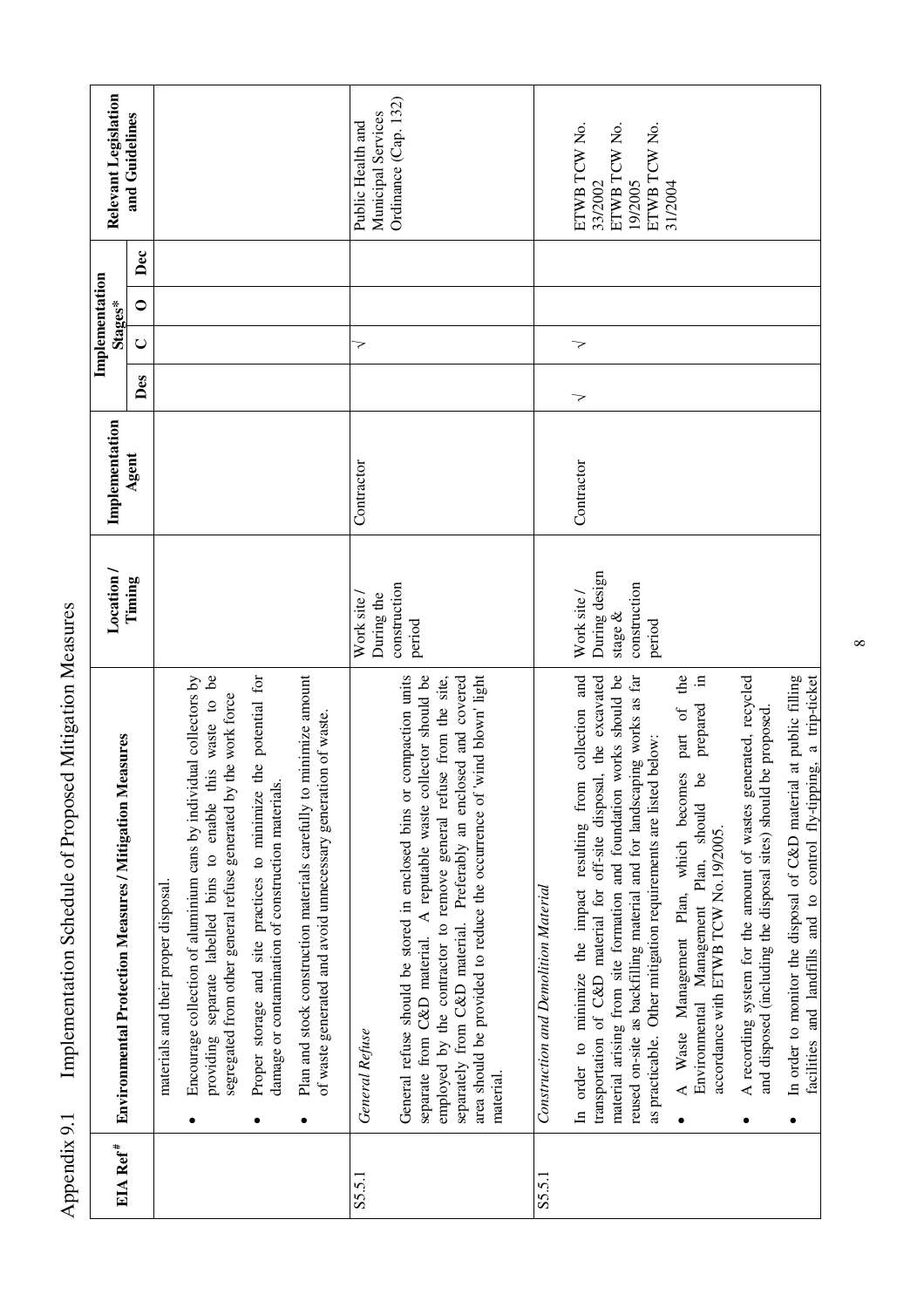| EIA Ref <sup>#</sup> | Environmental Protection Measures / Mitigation Measures                                                                                                                                                                                                                                                                                                                        | Location /                                                           | Implementation |     | Stages* | Implementation | Relevant Legislation                                               |
|----------------------|--------------------------------------------------------------------------------------------------------------------------------------------------------------------------------------------------------------------------------------------------------------------------------------------------------------------------------------------------------------------------------|----------------------------------------------------------------------|----------------|-----|---------|----------------|--------------------------------------------------------------------|
|                      |                                                                                                                                                                                                                                                                                                                                                                                | Timing                                                               | Agent          | Des | $\cup$  | Dec<br>$\circ$ | and Guidelines                                                     |
|                      | materials and their proper disposal.                                                                                                                                                                                                                                                                                                                                           |                                                                      |                |     |         |                |                                                                    |
|                      | providing separate labelled bins to enable this waste to be<br>Encourage collection of aluminium cans by individual collectors by<br>segregated from other general refuse generated by the work force                                                                                                                                                                          |                                                                      |                |     |         |                |                                                                    |
|                      | Proper storage and site practices to minimize the potential for<br>damage or contamination of construction materials.<br>٠                                                                                                                                                                                                                                                     |                                                                      |                |     |         |                |                                                                    |
|                      | Plan and stock construction materials carefully to minimize amount<br>of waste generated and avoid unnecessary generation of waste.<br>$\bullet$                                                                                                                                                                                                                               |                                                                      |                |     |         |                |                                                                    |
| S5.5.1               | General Refuse                                                                                                                                                                                                                                                                                                                                                                 | During the<br>Work site /                                            | Contractor     |     | 7       |                | Municipal Services<br>Public Health and                            |
|                      | General refuse should be stored in enclosed bins or compaction units<br>lector should be<br>area should be provided to reduce the occurrence of 'wind blown' light<br>employed by the contractor to remove general refuse from the site,<br>separately from C&D material. Preferably an enclosed and covered<br>separate from C&D material. A reputable waste col<br>material. | construction<br>period                                               |                |     |         |                | Ordinance $(Cap. 132)$                                             |
| S5.5.1               | Construction and Demolition Material                                                                                                                                                                                                                                                                                                                                           |                                                                      |                |     |         |                |                                                                    |
|                      | collection and<br>transportation of C&D material for off-site disposal, the excavated<br>material arising from site formation and foundation works should be<br>reused on-site as backfilling material and for landscaping works as far<br>as practicable. Other mitigation requirements are listed below:<br>In order to minimize the impact resulting from                   | During design<br>construction<br>Work site /<br>stage $\&$<br>period | Contractor     | 7   | 7       |                | ETWB TCW No.<br>ETWB TCW No.<br>ETWB TCW No.<br>19/2005<br>33/2002 |
|                      | A Waste Management Plan, which becomes part of the<br>prepared in<br>Environmental Management Plan, should be<br>accordance with ETWB TCW No.19/2005.<br>$\bullet$                                                                                                                                                                                                             |                                                                      |                |     |         |                | 31/2004                                                            |
|                      | A recording system for the amount of wastes generated, recycled<br>and disposed (including the disposal sites) should be proposed.<br>$\bullet$                                                                                                                                                                                                                                |                                                                      |                |     |         |                |                                                                    |
|                      | In order to monitor the disposal of C&D material at public filling<br>facilities and landfills and to control fly-tipping, a trip-ticket<br>$\bullet$                                                                                                                                                                                                                          |                                                                      |                |     |         |                |                                                                    |

 $\infty$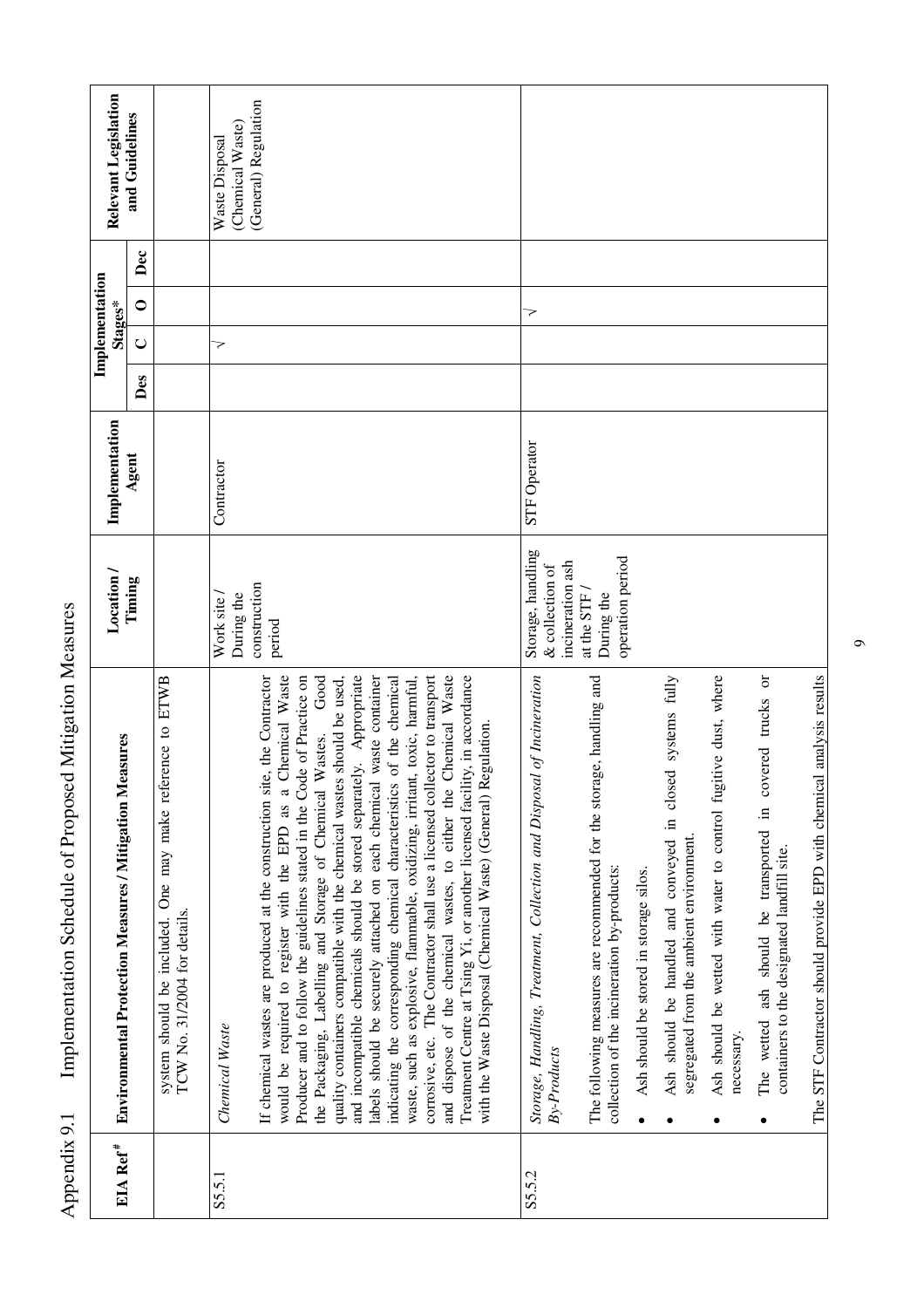| EIA Ref <sup>#</sup> |                                                                                                                                                                                                                                                                                                                                                                                                                                                                                                                                                                                                                                                                                                                                                                                                                                                                                                                                                                                                      | Location /                                               | Implementation      |     | Implementation<br>Stages* |     | Relevant Legislation               |
|----------------------|------------------------------------------------------------------------------------------------------------------------------------------------------------------------------------------------------------------------------------------------------------------------------------------------------------------------------------------------------------------------------------------------------------------------------------------------------------------------------------------------------------------------------------------------------------------------------------------------------------------------------------------------------------------------------------------------------------------------------------------------------------------------------------------------------------------------------------------------------------------------------------------------------------------------------------------------------------------------------------------------------|----------------------------------------------------------|---------------------|-----|---------------------------|-----|------------------------------------|
|                      | Environmental Protection Measures / Mitigation Measures                                                                                                                                                                                                                                                                                                                                                                                                                                                                                                                                                                                                                                                                                                                                                                                                                                                                                                                                              | Timing                                                   | Agent               | Des | $\circ$<br>$\cup$         | Dec | and Guidelines                     |
|                      | system should be included. One may make reference to ETWB<br>TCW No. 31/2004 for details.                                                                                                                                                                                                                                                                                                                                                                                                                                                                                                                                                                                                                                                                                                                                                                                                                                                                                                            |                                                          |                     |     |                           |     |                                    |
| S5.5.1               | Chemical Waste                                                                                                                                                                                                                                                                                                                                                                                                                                                                                                                                                                                                                                                                                                                                                                                                                                                                                                                                                                                       | During the<br>Work site                                  | Contractor          |     | マ                         |     | (Chemical Waste)<br>Waste Disposal |
|                      | and incompatible chemicals should be stored separately. Appropriate<br>waste container<br>corrosive, etc. The Contractor shall use a licensed collector to transport<br>Chemical Waste<br>Chemical Waste<br>Producer and to follow the guidelines stated in the Code of Practice on<br>Good<br>If chemical wastes are produced at the construction site, the Contractor<br>quality containers compatible with the chemical wastes should be used,<br>indicating the corresponding chemical characteristics of the chemical<br>Treatment Centre at Tsing Yi, or another licensed facility, in accordance<br>waste, such as explosive, flammable, oxidizing, irritant, toxic, harmful,<br>with the Waste Disposal (Chemical Waste) (General) Regulation.<br>Wastes.<br>labels should be securely attached on each chemical<br>the Packaging, Labelling and Storage of Chemical<br>and dispose of the chemical wastes, to either the<br>$\mathfrak{a}$<br>would be required to register with the EPD as | construction<br>period                                   |                     |     |                           |     | (General) Regulation               |
| S5.5.2               | Storage, Handling, Treatment, Collection and Disposal of Incineration<br>By-Products                                                                                                                                                                                                                                                                                                                                                                                                                                                                                                                                                                                                                                                                                                                                                                                                                                                                                                                 | Storage, handling<br>incineration ash<br>& collection of | <b>STF Operator</b> |     | >                         |     |                                    |
|                      | ge, handling and<br>The following measures are recommended for the stora<br>collection of the incineration by-products:                                                                                                                                                                                                                                                                                                                                                                                                                                                                                                                                                                                                                                                                                                                                                                                                                                                                              | operation period<br>at the STF<br>During the             |                     |     |                           |     |                                    |
|                      | Ash should be handled and conveyed in closed systems fully<br>segregated from the ambient environment.<br>Ash should be stored in storage silos.<br>$\bullet$                                                                                                                                                                                                                                                                                                                                                                                                                                                                                                                                                                                                                                                                                                                                                                                                                                        |                                                          |                     |     |                           |     |                                    |
|                      | Ash should be wetted with water to control fugitive dust, where<br>necessary.<br>$\bullet$                                                                                                                                                                                                                                                                                                                                                                                                                                                                                                                                                                                                                                                                                                                                                                                                                                                                                                           |                                                          |                     |     |                           |     |                                    |
|                      | The wetted ash should be transported in covered trucks or<br>containers to the designated landfill site.<br>$\bullet$                                                                                                                                                                                                                                                                                                                                                                                                                                                                                                                                                                                                                                                                                                                                                                                                                                                                                |                                                          |                     |     |                           |     |                                    |
|                      | The STF Contractor should provide EPD with chemical analysis results                                                                                                                                                                                                                                                                                                                                                                                                                                                                                                                                                                                                                                                                                                                                                                                                                                                                                                                                 |                                                          |                     |     |                           |     |                                    |

 $\circ$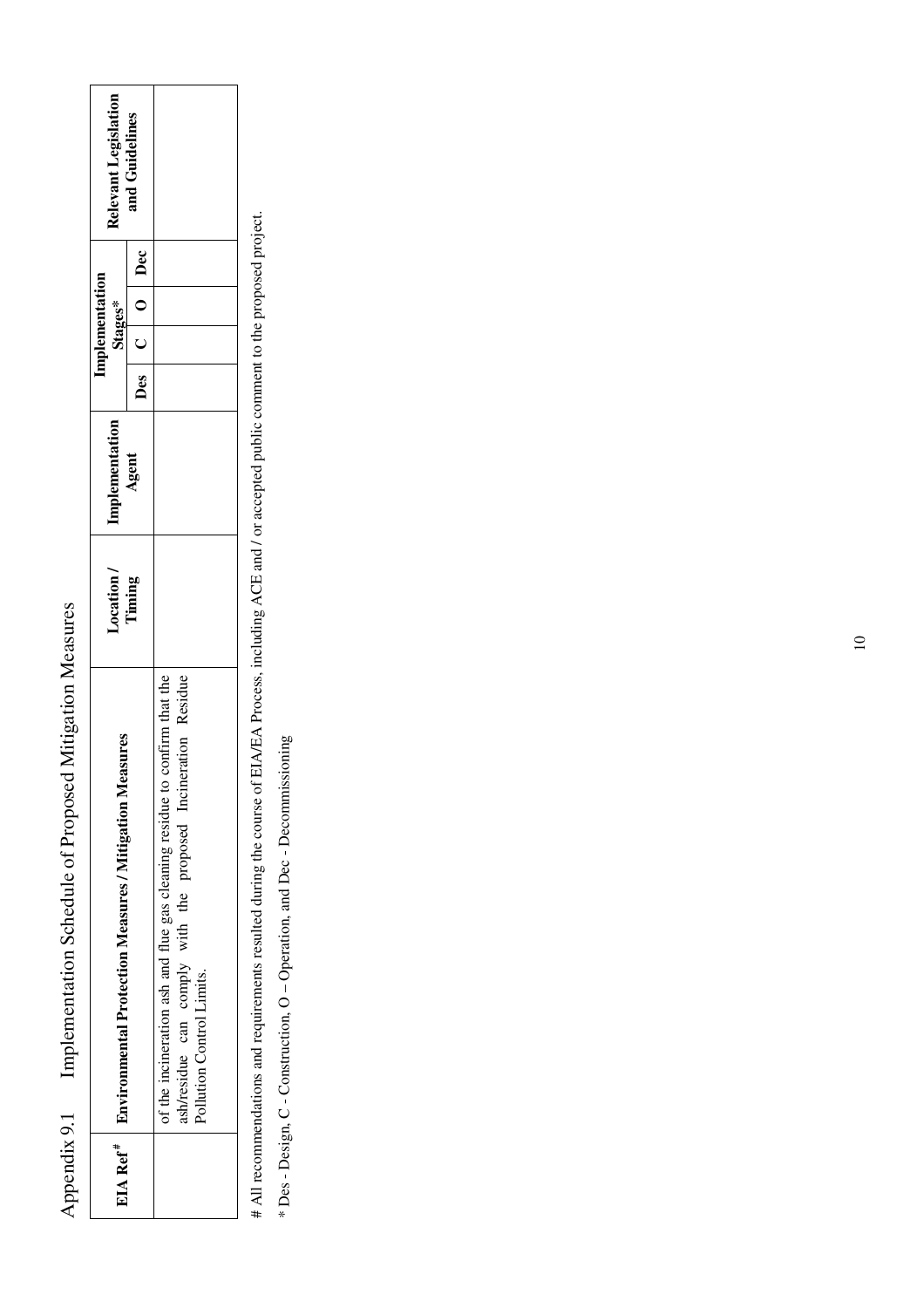| asures<br>EIA Ref <sup>#</sup>   Environmental Protection Measures / Mitigation Me-                                                                                     | Location / | Implementation | Stages* | mplementation     | <b>Relevant Legislatior</b> |  |
|-------------------------------------------------------------------------------------------------------------------------------------------------------------------------|------------|----------------|---------|-------------------|-----------------------------|--|
|                                                                                                                                                                         | Timing     | Agent          |         | Des   C   O   Dec | and Guidelines              |  |
| of the incineration ash and flue gas cleaning residue to confirm that the<br>ash/residue can comply with the proposed Incineration Residue<br>Pollution Control Limits. |            |                |         |                   |                             |  |

Appendix 9.1 Implementation Schedule of Proposed Mitigation Measures

Appendix 9.1

Implementation Schedule of Proposed Mitigation Measures

# All recommendations and requirements resulted during the course of EIA/EA Process, including ACE and / or accepted public comment to the proposed project. # All recommendations and requirements resulted during the course of EIA/EA Process, including ACE and / or accepted public comment to the proposed project.

\* Des - Design, C - Construction, O - Operation, and Dec - Decommissioning \* Des - Design, C - Construction, O – Operation, and Dec - Decommissioning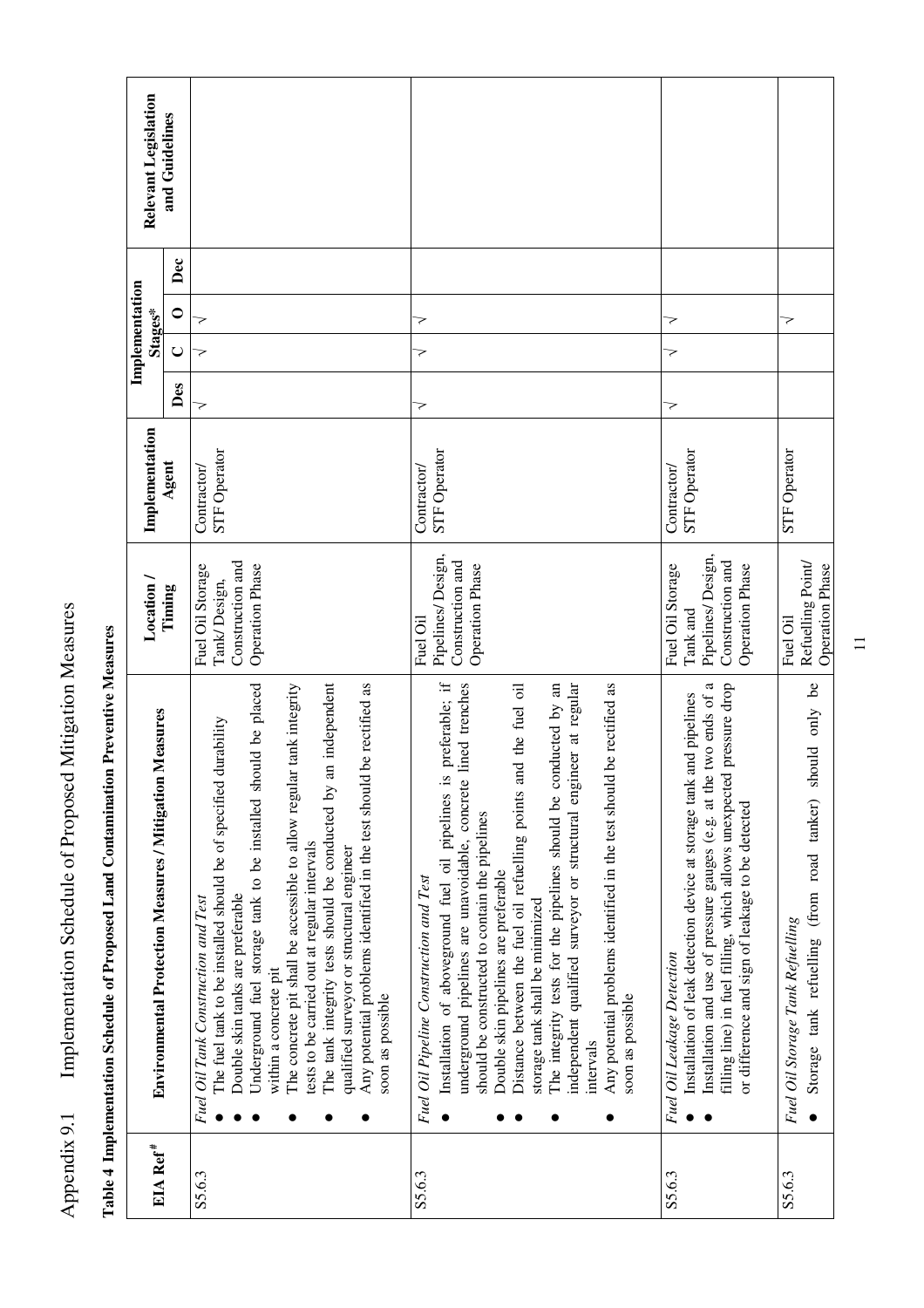| EIA Ref <sup>#</sup> | Environmental Protection Measures / Mitigation Measures                                                                                                                                                                                                                                                                                                                                                                                                                                                                                                                                                                              | Location /                                                                                      | Implementation                     |     | Implementation<br>Stages* |                  | Relevant Legislation |
|----------------------|--------------------------------------------------------------------------------------------------------------------------------------------------------------------------------------------------------------------------------------------------------------------------------------------------------------------------------------------------------------------------------------------------------------------------------------------------------------------------------------------------------------------------------------------------------------------------------------------------------------------------------------|-------------------------------------------------------------------------------------------------|------------------------------------|-----|---------------------------|------------------|----------------------|
|                      |                                                                                                                                                                                                                                                                                                                                                                                                                                                                                                                                                                                                                                      | Timing                                                                                          | Agent                              | Des | $\cup$                    | Dec<br>$\bullet$ | and Guidelines       |
| S5.6.3               | an independent<br>Any potential problems identified in the test should be rectified as<br>Underground fuel storage tank to be installed should be placed<br>The concrete pit shall be accessible to allow regular tank integrity<br>durability<br>The fuel tank to be installed should be of specified<br>The tank integrity tests should be conducted by<br>tests to be carried out at regular intervals<br>qualified surveyor or structural engineer<br>Double skin tanks are preferable<br>Fuel Oil Tank Construction and Test<br>within a concrete pit<br>soon as possible                                                       | Construction and<br>Fuel Oil Storage<br><b>Operation Phase</b><br>Tank/Design,                  | STF Operator<br>Contractor/        | >   | 7<br>>                    |                  |                      |
| S5.6.3               | preferable; if<br>independent qualified surveyor or structural engineer at regular<br>The integrity tests for the pipelines should be conducted by an<br>Any potential problems identified in the test should be rectified as<br>lined trenches<br>Distance between the fuel oil refuelling points and the fuel oil<br>Installation of aboveground fuel oil pipelines is<br>underground pipelines are unavoidable, concrete<br>should be constructed to contain the pipelines<br>Double skin pipelines are preferable<br>Fuel Oil Pipeline Construction and Test<br>storage tank shall be minimized<br>soon as possible<br>intervals | Pipelines/Design,<br>Construction and<br>Operation Phase<br>Fuel Oil                            | <b>STF Operator</b><br>Contractor/ | 7   | 7<br>>                    |                  |                      |
| S5.6.3               | Installation and use of pressure gauges (e.g. at the two ends of a<br>filling line) in fuel filling, which allows unexpected pressure drop<br>Installation of leak detection device at storage tank and pipelines<br>or difference and sign of leakage to be detected<br>Fuel Oil Leakage Detection                                                                                                                                                                                                                                                                                                                                  | Pipelines/Design,<br>Construction and<br>Fuel Oil Storage<br><b>Operation Phase</b><br>Tank and | STF Operator<br>Contractor/        | 7   | 7<br>>                    |                  |                      |
| S5.6.3               | should only be<br>Storage tank refuelling (from road tanker)<br>Fuel Oil Storage Tank Refuelling                                                                                                                                                                                                                                                                                                                                                                                                                                                                                                                                     | Refuelling Point<br><b>Operation Phase</b><br>Fuel Oil                                          | STF Operator                       |     | マ                         |                  |                      |

Table 4 Implementation Schedule of Proposed Land Contamination Preventive Measures **Table 4 Implementation Schedule of Proposed Land Contamination Preventive Measures** 

Appendix 9.1 Implementation Schedule of Proposed Mitigation Measures

Appendix 9.1 Implementation Schedule of Proposed Mitigation Measures

 $\equiv$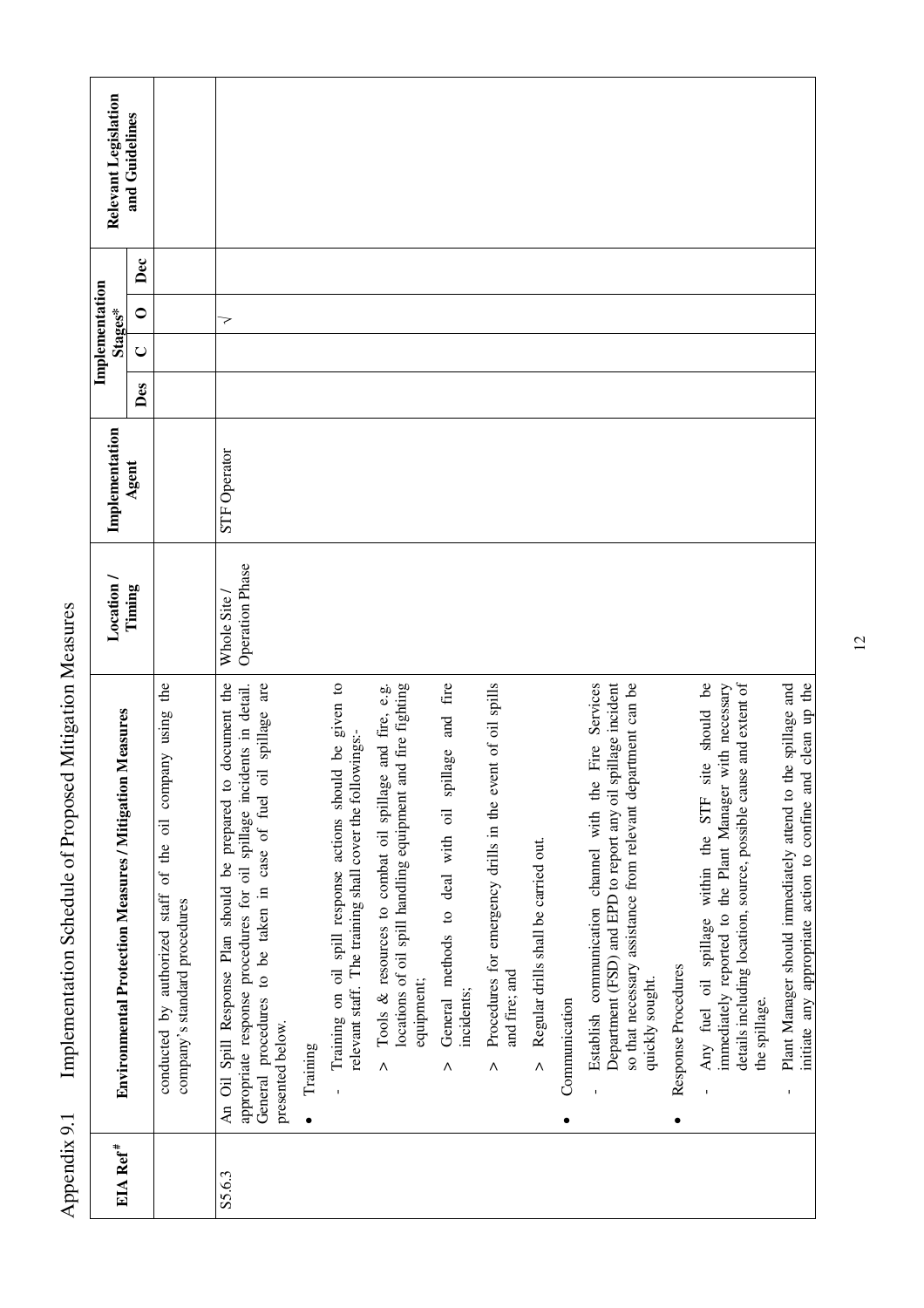| EIA Ref <sup>#</sup> | Measures<br>Environmental Protection Measures / Mitigation                                                                                                                                                                       | Location /                           | Implementation      |     | Implementation | Stages* |     | Relevant Legislation |
|----------------------|----------------------------------------------------------------------------------------------------------------------------------------------------------------------------------------------------------------------------------|--------------------------------------|---------------------|-----|----------------|---------|-----|----------------------|
|                      |                                                                                                                                                                                                                                  | Timing                               | Agent               | Des | $\cup$         | $\circ$ | Dec | and Guidelines       |
|                      | the<br>of the oil company using<br>$_{\mbox{staff}}$<br>company's standard procedures<br>authorized<br>conducted by                                                                                                              |                                      |                     |     |                |         |     |                      |
| S5.6.3               | document the<br>appropriate response procedures for oil spillage incidents in detail.<br>General procedures to be taken in case of fuel oil spillage are<br>An Oil Spill Response Plan should be prepared to<br>presented below. | <b>Operation Phase</b><br>Whole Site | <b>STF</b> Operator |     |                | 7       |     |                      |
|                      | Training<br>٠                                                                                                                                                                                                                    |                                      |                     |     |                |         |     |                      |
|                      | Training on oil spill response actions should be given to<br>relevant staff. The training shall cover the followings:-                                                                                                           |                                      |                     |     |                |         |     |                      |
|                      | id fire fighting<br>and fire, e.g.<br>Tools & resources to combat oil spillage<br>locations of oil spill handling equipment ar<br>equipment;<br>$\Lambda$                                                                        |                                      |                     |     |                |         |     |                      |
|                      | spillage and fire<br>General methods to deal with oil<br>incidents;<br>٨                                                                                                                                                         |                                      |                     |     |                |         |     |                      |
|                      | Procedures for emergency drills in the event of oil spills<br>and fire; and<br>Λ                                                                                                                                                 |                                      |                     |     |                |         |     |                      |
|                      | Regular drills shall be carried out.<br>$\wedge$                                                                                                                                                                                 |                                      |                     |     |                |         |     |                      |
|                      | Communication                                                                                                                                                                                                                    |                                      |                     |     |                |         |     |                      |
|                      | Fire Services<br>Department (FSD) and EPD to report any oil spillage incident<br>so that necessary assistance from relevant department can be<br>Establish communication channel with the<br>quickly sought.                     |                                      |                     |     |                |         |     |                      |
|                      | Response Procedures<br>٠                                                                                                                                                                                                         |                                      |                     |     |                |         |     |                      |
|                      | Any fuel oil spillage within the STF site should be<br>details including location, source, possible cause and extent of<br>immediately reported to the Plant Manager with necessary<br>the spillage.                             |                                      |                     |     |                |         |     |                      |
|                      | initiate any appropriate action to confine and clean up the<br>Plant Manager should immediately attend to the spillage and                                                                                                       |                                      |                     |     |                |         |     |                      |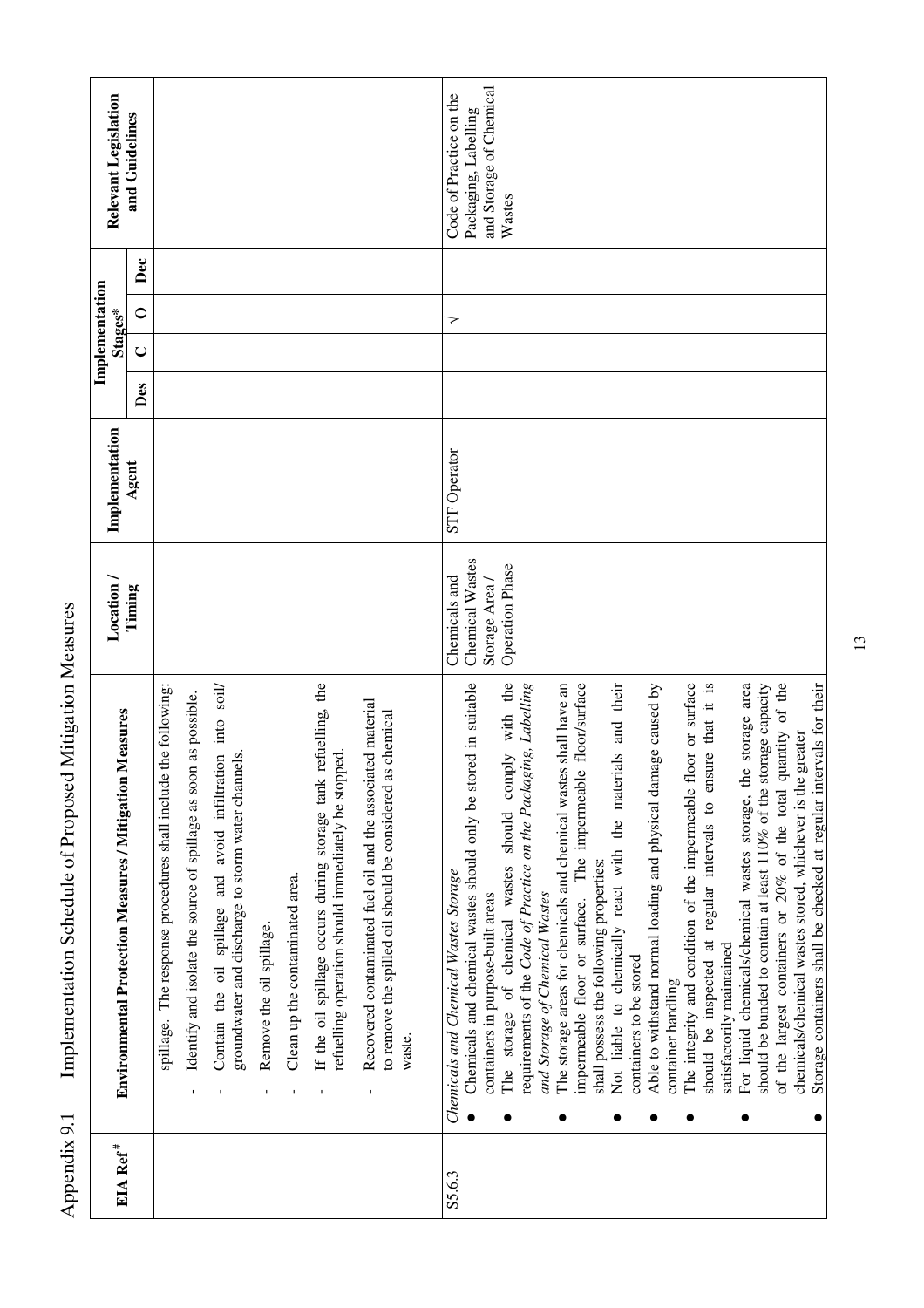| Relevant Legislation<br>Implementation<br>Stages* | and Guidelines<br>Dec<br>$\circ$                           |                                                                                                                                                                                                                                                                                                                                                                                                                                                                                                                                                                                                                                       | and Storage of Chemical<br>Code of Practice on the<br>Packaging, Labelling<br>Wastes<br>7                                                                                                                                                                                                                                                                                                                                                                                                                                                                                                                                                                                                                                                                                                                                                                                                                                                                                                                                                                                                                                  |
|---------------------------------------------------|------------------------------------------------------------|---------------------------------------------------------------------------------------------------------------------------------------------------------------------------------------------------------------------------------------------------------------------------------------------------------------------------------------------------------------------------------------------------------------------------------------------------------------------------------------------------------------------------------------------------------------------------------------------------------------------------------------|----------------------------------------------------------------------------------------------------------------------------------------------------------------------------------------------------------------------------------------------------------------------------------------------------------------------------------------------------------------------------------------------------------------------------------------------------------------------------------------------------------------------------------------------------------------------------------------------------------------------------------------------------------------------------------------------------------------------------------------------------------------------------------------------------------------------------------------------------------------------------------------------------------------------------------------------------------------------------------------------------------------------------------------------------------------------------------------------------------------------------|
|                                                   | $\mathsf{C}$<br>Des                                        |                                                                                                                                                                                                                                                                                                                                                                                                                                                                                                                                                                                                                                       |                                                                                                                                                                                                                                                                                                                                                                                                                                                                                                                                                                                                                                                                                                                                                                                                                                                                                                                                                                                                                                                                                                                            |
| Implementation                                    | Agent                                                      |                                                                                                                                                                                                                                                                                                                                                                                                                                                                                                                                                                                                                                       | <b>STF</b> Operator                                                                                                                                                                                                                                                                                                                                                                                                                                                                                                                                                                                                                                                                                                                                                                                                                                                                                                                                                                                                                                                                                                        |
| Location /                                        | Timing                                                     |                                                                                                                                                                                                                                                                                                                                                                                                                                                                                                                                                                                                                                       | Chemical Wastes<br><b>Operation Phase</b><br>Chemicals and<br>Storage Area /                                                                                                                                                                                                                                                                                                                                                                                                                                                                                                                                                                                                                                                                                                                                                                                                                                                                                                                                                                                                                                               |
|                                                   | Measures<br>Environmental Protection Measures / Mitigation | refuelling, the<br>Contain the oil spillage and avoid infiltration into soil/<br>spillage. The response procedures shall include the following:<br>Identify and isolate the source of spillage as soon as possible.<br>Recovered contaminated fuel oil and the associated material<br>to remove the spilled oil should be considered as chemical<br>refuelling operation should immediately be stopped.<br>groundwater and discharge to storm water channels.<br>If the oil spillage occurs during storage tank<br>Clean up the contaminated area.<br>Remove the oil spillage.<br>waste<br>$\mathbf I$<br>$\mathbf I$<br>$\mathbf{I}$ | The storage of chemical wastes should comply with the<br>The integrity and condition of the impermeable floor or surface<br>For liquid chemicals/chemical wastes storage, the storage area<br>Chemicals and chemical wastes should only be stored in suitable<br>The storage areas for chemicals and chemical wastes shall have an<br>floor/surface<br>should be inspected at regular intervals to ensure that it is<br>should be bunded to contain at least 110% of the storage capacity<br>Not liable to chemically react with the materials and their<br>of the largest containers or 20% of the total quantity of the<br>requirements of the Code of Practice on the Packaging, Labelling<br>Able to withstand normal loading and physical damage caused by<br>chemicals/chemical wastes stored, whichever is the greater<br>The impermeable<br>shall possess the following properties:<br>Chemicals and Chemical Wastes Storage<br>and Storage of Chemical Wastes<br>containers in purpose-built areas<br>impermeable floor or surface.<br>satisfactorily maintained<br>containers to be stored<br>container handling |
| EIA Ref <sup>#</sup>                              |                                                            |                                                                                                                                                                                                                                                                                                                                                                                                                                                                                                                                                                                                                                       | S5.6.3                                                                                                                                                                                                                                                                                                                                                                                                                                                                                                                                                                                                                                                                                                                                                                                                                                                                                                                                                                                                                                                                                                                     |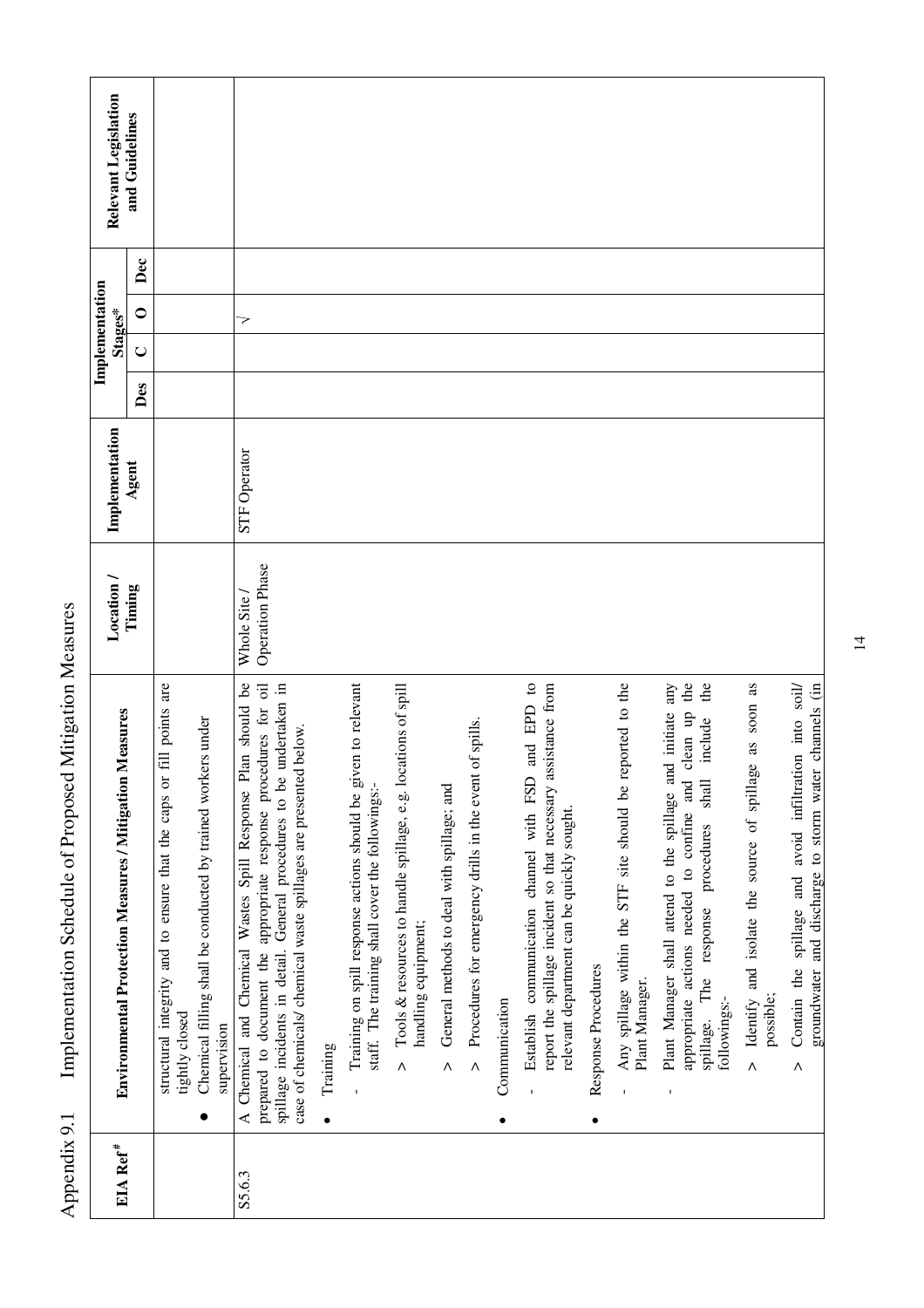| Relevant Legislation                                       | and Guidelines |                                                                                                                                                                         |                                                                                                                                                                                                                                                                                                   |          |                                                                                                                    |                                                                                                  |                                                        |                                                                         |               |                                                                                                                                                                        |                     |                                                                                              |                                                                                                                                                                                                                                              |                                                                                                      |                                                                                                                      |
|------------------------------------------------------------|----------------|-------------------------------------------------------------------------------------------------------------------------------------------------------------------------|---------------------------------------------------------------------------------------------------------------------------------------------------------------------------------------------------------------------------------------------------------------------------------------------------|----------|--------------------------------------------------------------------------------------------------------------------|--------------------------------------------------------------------------------------------------|--------------------------------------------------------|-------------------------------------------------------------------------|---------------|------------------------------------------------------------------------------------------------------------------------------------------------------------------------|---------------------|----------------------------------------------------------------------------------------------|----------------------------------------------------------------------------------------------------------------------------------------------------------------------------------------------------------------------------------------------|------------------------------------------------------------------------------------------------------|----------------------------------------------------------------------------------------------------------------------|
|                                                            | Dec            |                                                                                                                                                                         |                                                                                                                                                                                                                                                                                                   |          |                                                                                                                    |                                                                                                  |                                                        |                                                                         |               |                                                                                                                                                                        |                     |                                                                                              |                                                                                                                                                                                                                                              |                                                                                                      |                                                                                                                      |
| Implementation<br>Stages*                                  | $\circ$        |                                                                                                                                                                         | 7                                                                                                                                                                                                                                                                                                 |          |                                                                                                                    |                                                                                                  |                                                        |                                                                         |               |                                                                                                                                                                        |                     |                                                                                              |                                                                                                                                                                                                                                              |                                                                                                      |                                                                                                                      |
|                                                            | $\cup$<br>Des  |                                                                                                                                                                         |                                                                                                                                                                                                                                                                                                   |          |                                                                                                                    |                                                                                                  |                                                        |                                                                         |               |                                                                                                                                                                        |                     |                                                                                              |                                                                                                                                                                                                                                              |                                                                                                      |                                                                                                                      |
|                                                            |                |                                                                                                                                                                         |                                                                                                                                                                                                                                                                                                   |          |                                                                                                                    |                                                                                                  |                                                        |                                                                         |               |                                                                                                                                                                        |                     |                                                                                              |                                                                                                                                                                                                                                              |                                                                                                      |                                                                                                                      |
| Implementation                                             | Agent          |                                                                                                                                                                         | <b>STF Operator</b>                                                                                                                                                                                                                                                                               |          |                                                                                                                    |                                                                                                  |                                                        |                                                                         |               |                                                                                                                                                                        |                     |                                                                                              |                                                                                                                                                                                                                                              |                                                                                                      |                                                                                                                      |
| Location /                                                 | Timing         |                                                                                                                                                                         | Operation Phase<br>Whole Site                                                                                                                                                                                                                                                                     |          |                                                                                                                    |                                                                                                  |                                                        |                                                                         |               |                                                                                                                                                                        |                     |                                                                                              |                                                                                                                                                                                                                                              |                                                                                                      |                                                                                                                      |
| Measures<br>Environmental Protection Measures / Mitigation |                | fill points are<br>Chemical filling shall be conducted by trained workers under<br>structural integrity and to ensure that the caps or<br>tightly closed<br>supervision | lan should be<br>spillage incidents in detail. General procedures to be undertaken in<br>prepared to document the appropriate response procedures for oil<br>case of chemicals/ chemical waste spillages are presented below.<br>Chemical and Chemical Wastes Spill Response P<br>$\triangleleft$ | Training | Training on spill response actions should be given to relevant<br>staff. The training shall cover the followings:- | Tools & resources to handle spillage, e.g. locations of spill<br>handling equipment;<br>$\wedge$ | General methods to deal with spillage; and<br>$\wedge$ | of spills.<br>Procedures for emergency drills in the event<br>$\Lambda$ | Communication | and EPD to<br>report the spillage incident so that necessary assistance from<br>Establish communication channel with FSD<br>relevant department can be quickly sought. | Response Procedures | Any spillage within the STF site should be reported to the<br>Plant Manager.<br>$\mathbf{I}$ | the<br>Plant Manager shall attend to the spillage and initiate any<br>the<br>clean up<br>include<br>appropriate actions needed to confine and<br>$\ensuremath{\mathsf{shall}}$<br>procedures<br>response<br>The<br>followings:-<br>spillage. | as soon as<br>Ŏ,<br>Identify and isolate the source of spillag<br>possible;<br>$\boldsymbol{\wedge}$ | Contain the spillage and avoid infiltration into soil/<br>groundwater and discharge to storm water channels (in<br>Λ |
| EIA Ref <sup>#</sup>                                       |                |                                                                                                                                                                         | S5.6.3                                                                                                                                                                                                                                                                                            |          |                                                                                                                    |                                                                                                  |                                                        |                                                                         |               |                                                                                                                                                                        |                     |                                                                                              |                                                                                                                                                                                                                                              |                                                                                                      |                                                                                                                      |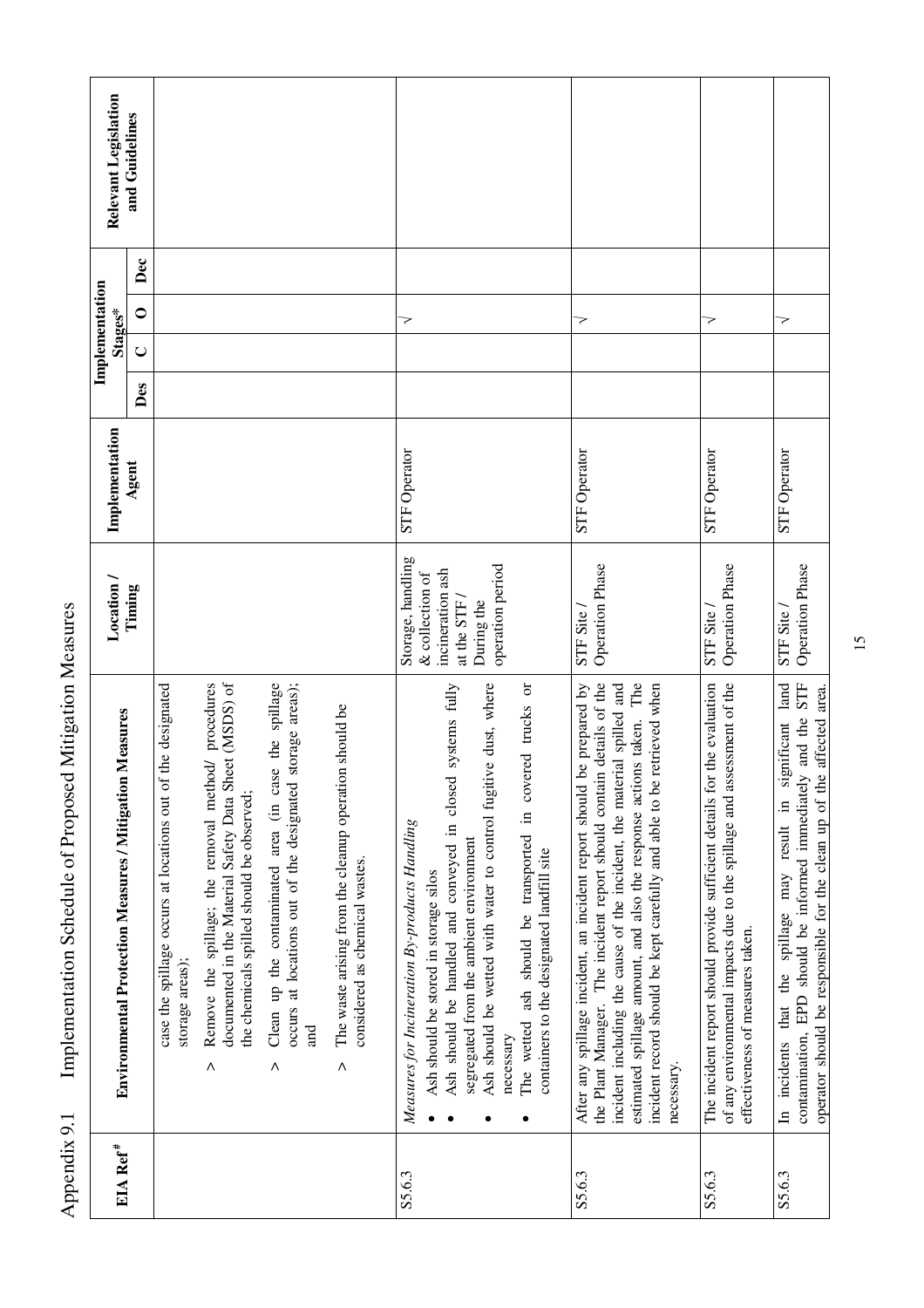| Relevant Legislation                                              | and Guidelines |                                                                                   |                                                                                                                                                                 |                                                                                                                                 |                                                                                               |                                                                                                                                                                                                                                                                                                                                                                                                     |                                                                                                                                                                                                                                                                                                                                                                                           |                                                                                                                                                                                        |                                                                                                                                                                                                                                     |
|-------------------------------------------------------------------|----------------|-----------------------------------------------------------------------------------|-----------------------------------------------------------------------------------------------------------------------------------------------------------------|---------------------------------------------------------------------------------------------------------------------------------|-----------------------------------------------------------------------------------------------|-----------------------------------------------------------------------------------------------------------------------------------------------------------------------------------------------------------------------------------------------------------------------------------------------------------------------------------------------------------------------------------------------------|-------------------------------------------------------------------------------------------------------------------------------------------------------------------------------------------------------------------------------------------------------------------------------------------------------------------------------------------------------------------------------------------|----------------------------------------------------------------------------------------------------------------------------------------------------------------------------------------|-------------------------------------------------------------------------------------------------------------------------------------------------------------------------------------------------------------------------------------|
|                                                                   | Dec            |                                                                                   |                                                                                                                                                                 |                                                                                                                                 |                                                                                               |                                                                                                                                                                                                                                                                                                                                                                                                     |                                                                                                                                                                                                                                                                                                                                                                                           |                                                                                                                                                                                        |                                                                                                                                                                                                                                     |
| Implementation<br>Stages*                                         | $\circ$        |                                                                                   |                                                                                                                                                                 |                                                                                                                                 |                                                                                               | マ                                                                                                                                                                                                                                                                                                                                                                                                   | マ                                                                                                                                                                                                                                                                                                                                                                                         | >                                                                                                                                                                                      | 7                                                                                                                                                                                                                                   |
|                                                                   | $\cup$         |                                                                                   |                                                                                                                                                                 |                                                                                                                                 |                                                                                               |                                                                                                                                                                                                                                                                                                                                                                                                     |                                                                                                                                                                                                                                                                                                                                                                                           |                                                                                                                                                                                        |                                                                                                                                                                                                                                     |
|                                                                   | Des            |                                                                                   |                                                                                                                                                                 |                                                                                                                                 |                                                                                               |                                                                                                                                                                                                                                                                                                                                                                                                     |                                                                                                                                                                                                                                                                                                                                                                                           |                                                                                                                                                                                        |                                                                                                                                                                                                                                     |
| Implementation                                                    | Agent          |                                                                                   |                                                                                                                                                                 |                                                                                                                                 |                                                                                               | <b>STF Operator</b>                                                                                                                                                                                                                                                                                                                                                                                 | STF Operator                                                                                                                                                                                                                                                                                                                                                                              | <b>STF</b> Operator                                                                                                                                                                    | <b>STF Operator</b>                                                                                                                                                                                                                 |
| Location /                                                        | Timing         |                                                                                   |                                                                                                                                                                 |                                                                                                                                 |                                                                                               | Storage, handling<br>operation period<br>incineration ash<br>& collection of<br>at the STF /<br>During the                                                                                                                                                                                                                                                                                          | <b>Operation Phase</b><br>STF Site                                                                                                                                                                                                                                                                                                                                                        | Operation Phase<br>STF Site                                                                                                                                                            | <b>Operation Phase</b><br>STF Site                                                                                                                                                                                                  |
| Measures<br><b>Environmental Protection Measures / Mitigation</b> |                | the designated<br>case the spillage occurs at locations out of<br>storage areas); | documented in the Material Safety Data Sheet (MSDS) of<br>Remove the spillage; the removal method/ procedures<br>the chemicals spilled should be observed;<br>Λ | Clean up the contaminated area (in case the spillage<br>storage areas);<br>occurs at locations out of the designated<br>Бщ<br>Λ | The waste arising from the cleanup operation should be<br>considered as chemical wastes.<br>Λ | systems fully<br>Ash should be wetted with water to control fugitive dust, where<br>The wetted ash should be transported in covered trucks or<br>Ash should be handled and conveyed in closed<br>Measures for Incineration By-products Handling<br>segregated from the ambient environment<br>containers to the designated landfill site<br>Ash should be stored in storage silos<br>necessary<br>٠ | the Plant Manager. The incident report should contain details of the<br>estimated spillage amount, and also the response actions taken. The<br>be prepared by<br>incident including the cause of the incident, the material spilled and<br>incident record should be kept carefully and able to be retrieved when<br>After any spillage incident, an incident report should<br>necessary. | The incident report should provide sufficient details for the evaluation<br>of any environmental impacts due to the spillage and assessment of the<br>effectiveness of measures taken. | STF<br>land<br>operator should be responsible for the clean up of the affected area.<br>and the<br>ignificant<br>S<br>EPD should be informed immediately<br>$\Xi$<br>that the spillage may result<br>contamination,<br>In incidents |
| EIA Ref <sup>#</sup>                                              |                |                                                                                   |                                                                                                                                                                 |                                                                                                                                 |                                                                                               | S5.6.3                                                                                                                                                                                                                                                                                                                                                                                              | S5.6.3                                                                                                                                                                                                                                                                                                                                                                                    | S5.6.3                                                                                                                                                                                 | S5.6.3                                                                                                                                                                                                                              |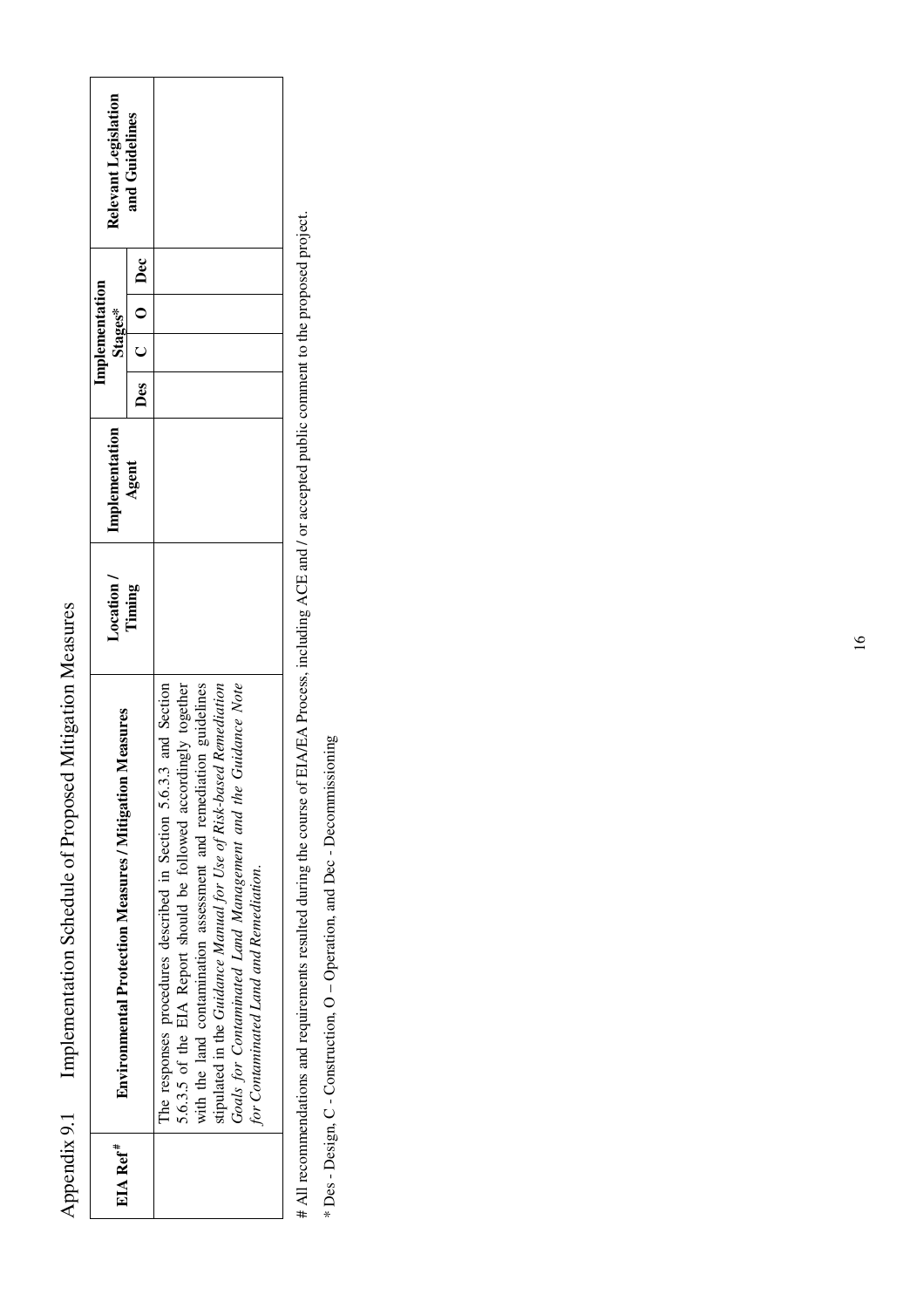| Relevant Legislation                                              | and Guidelines |                                                                                                                                                                                                                                                                                                                                                                                                 |
|-------------------------------------------------------------------|----------------|-------------------------------------------------------------------------------------------------------------------------------------------------------------------------------------------------------------------------------------------------------------------------------------------------------------------------------------------------------------------------------------------------|
|                                                                   | Des C O Dec    |                                                                                                                                                                                                                                                                                                                                                                                                 |
| Implementation<br>Stages*                                         |                |                                                                                                                                                                                                                                                                                                                                                                                                 |
|                                                                   |                |                                                                                                                                                                                                                                                                                                                                                                                                 |
|                                                                   |                |                                                                                                                                                                                                                                                                                                                                                                                                 |
| Implementation                                                    | Agent          |                                                                                                                                                                                                                                                                                                                                                                                                 |
| Location /                                                        | Timing         |                                                                                                                                                                                                                                                                                                                                                                                                 |
| Measures<br><b>Environmental Protection Measures / Mitigation</b> |                | 5.6.3.5 of the EIA Report should be followed accordingly together<br>Guidance Note<br>with the land contamination assessment and remediation guidelines<br>The responses procedures described in Section 5.6.3.3 and Section<br>stipulated in the Guidance Manual for Use of Risk-based Remediation<br>Goals for Contaminated Land Management and the<br>for Contaminated Land and Remediation. |
| EIA Ref $*$                                                       |                |                                                                                                                                                                                                                                                                                                                                                                                                 |

Appendix 9.1 Implementation Schedule of Proposed Mitigation Measures

Appendix 9.1

Implementation Schedule of Proposed Mitigation Measures

# All recommendations and requirements resulted during the course of EIA/EA Process, including ACE and / or accepted public comment to the proposed project. # All recommendations and requirements resulted during the course of EIA/EA Process, including ACE and / or accepted public comment to the proposed project.

\* Des - Design, C - Construction, O - Operation, and Dec - Decommissioning \* Des - Design, C - Construction, O – Operation, and Dec - Decommissioning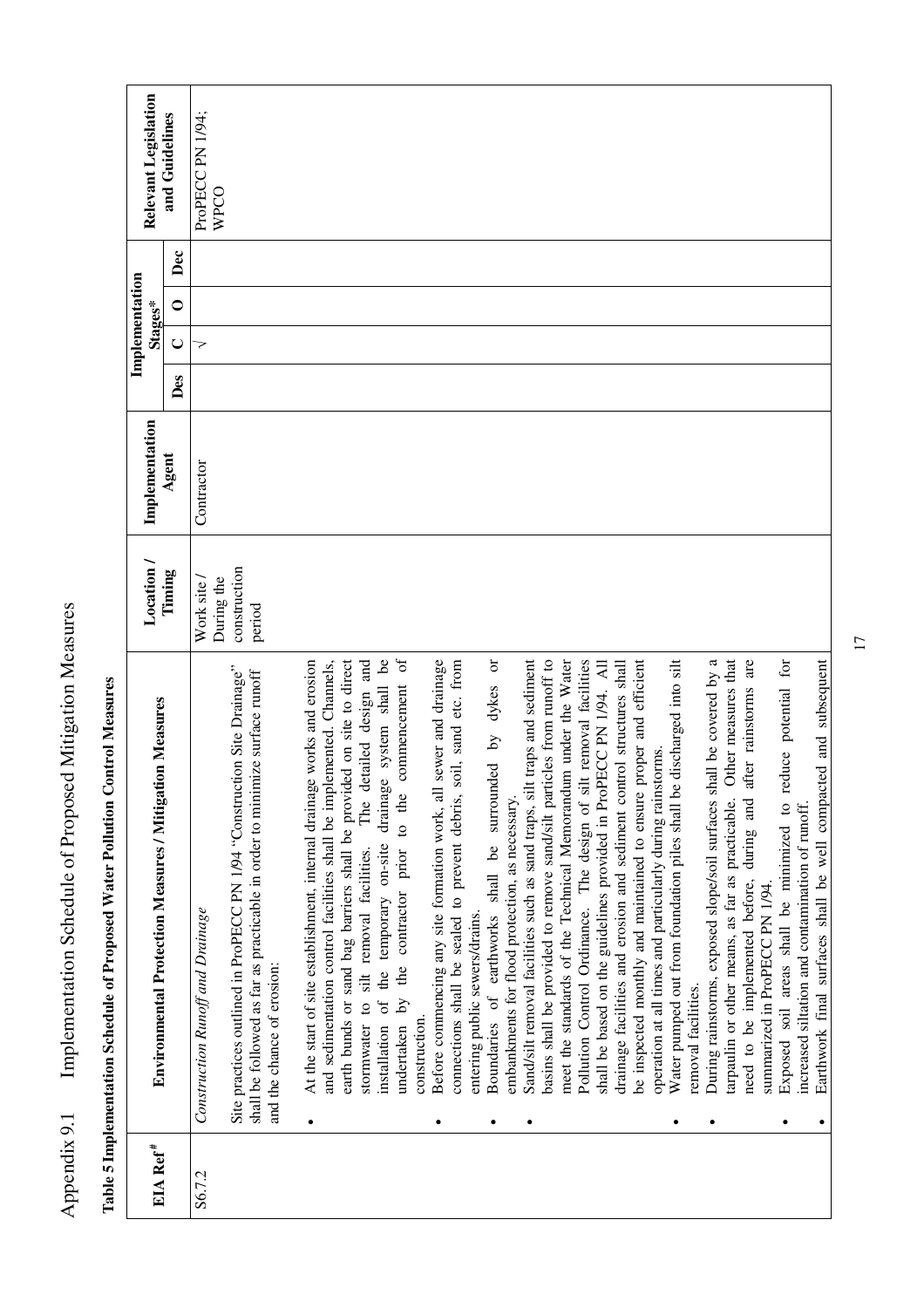|                      |                                                                                                                                                        |                         |                |     |         | Implementation |                          |
|----------------------|--------------------------------------------------------------------------------------------------------------------------------------------------------|-------------------------|----------------|-----|---------|----------------|--------------------------|
| EIA Ref <sup>#</sup> | <b>Environmental Protection Measures / Mitigation Measures</b>                                                                                         | Location/               | Implementation |     | Stages* |                | Relevant Legislation     |
|                      |                                                                                                                                                        | Timing                  | Agent          | Des | $\cup$  | Dec<br>$\circ$ | and Guidelines           |
| S6.7.2               | Construction Runoff and Drainage                                                                                                                       | During the<br>Work site | Contractor     |     | 7       |                | ProPECC PN 1/94;<br>WPCO |
|                      | Site practices outlined in ProPECC PN 1/94 "Construction Site Drainage"<br>shall be followed as far as practicable in order to minimize surface runoff | construction<br>period  |                |     |         |                |                          |
|                      | and the chance of erosion:                                                                                                                             |                         |                |     |         |                |                          |
|                      | At the start of site establishment, internal drainage works and erosion                                                                                |                         |                |     |         |                |                          |
|                      | earth bunds or sand bag barriers shall be provided on site to direct<br>and sedimentation control facilities shall be implemented. Channels,           |                         |                |     |         |                |                          |
|                      | The detailed design and<br>stormwater to silt removal facilities.                                                                                      |                         |                |     |         |                |                          |
|                      | drainage system shall be<br>commencement<br>to the<br>installation of the temporary on-site<br>prior<br>by the contractor<br>undertaken                | $\sigma$                |                |     |         |                |                          |
|                      | construction.                                                                                                                                          |                         |                |     |         |                |                          |
|                      | sewer and drainage<br>Before commencing any site formation work, all<br>٠                                                                              |                         |                |     |         |                |                          |
|                      | connections shall be sealed to prevent debris, soil, sand etc. from                                                                                    |                         |                |     |         |                |                          |
|                      | Boundaries of earthworks shall be surrounded by dykes or<br>entering public sewers/drains.                                                             |                         |                |     |         |                |                          |
|                      | embankments for flood protection, as necessary.                                                                                                        |                         |                |     |         |                |                          |
|                      | Sand/silt removal facilities such as sand traps, silt traps and sediment                                                                               |                         |                |     |         |                |                          |
|                      | basins shall be provided to remove sand/silt particles from runoff to                                                                                  |                         |                |     |         |                |                          |
|                      | meet the standards of the Technical Memorandum under the Water                                                                                         |                         |                |     |         |                |                          |
|                      | Pollution Control Ordinance. The design of silt removal facilities                                                                                     |                         |                |     |         |                |                          |
|                      | shall be based on the guidelines provided in ProPECC PN 1/94. All<br>drainage facilities and erosion and sediment control structures shall             |                         |                |     |         |                |                          |
|                      | be inspected monthly and maintained to ensure proper and efficient                                                                                     |                         |                |     |         |                |                          |
|                      | operation at all times and particularly during rainstorms.                                                                                             |                         |                |     |         |                |                          |
|                      | Water pumped out from foundation piles shall be discharged into silt                                                                                   |                         |                |     |         |                |                          |
|                      | removal facilities.                                                                                                                                    |                         |                |     |         |                |                          |
|                      | During rainstorms, exposed slope/soil surfaces shall be covered by a                                                                                   |                         |                |     |         |                |                          |
|                      | Other measures that<br>tarpaulin or other means, as far as practicable.                                                                                |                         |                |     |         |                |                          |
|                      | during and after rainstorms are<br>need to be implemented before,                                                                                      |                         |                |     |         |                |                          |
|                      | summarized in ProPECC PN 1/94.                                                                                                                         |                         |                |     |         |                |                          |
|                      | Exposed soil areas shall be minimized to reduce potential for                                                                                          |                         |                |     |         |                |                          |
|                      | increased siltation and contamination of runoff.                                                                                                       |                         |                |     |         |                |                          |
|                      | Earthwork final surfaces shall be well compacted and subsequent                                                                                        |                         |                |     |         |                |                          |

Table 5 Implementation Schedule of Proposed Water Pollution Control Measures  **Table 5 Implementation Schedule of Proposed Water Pollution Control Measures** 

Appendix 9.1 Implementation Schedule of Proposed Mitigation Measures

Appendix 9.1 Implementation Schedule of Proposed Mitigation Measures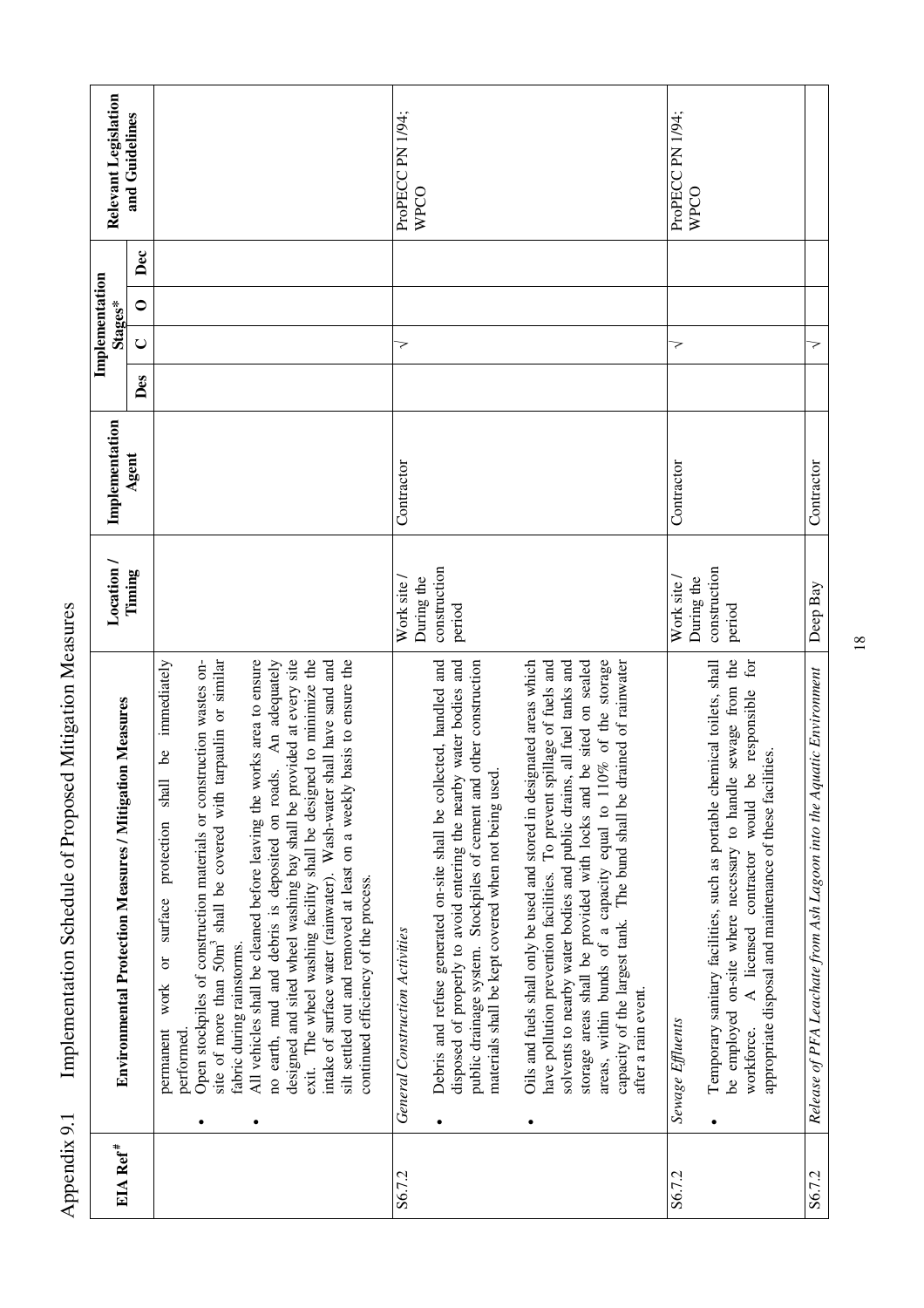|                      |                                                                                                                                                                                                                                                                                                                                                                                                                                                                                                                                                                                                                                                                                                                                                                                   |                                      |                |     | Implementation |     |                          |
|----------------------|-----------------------------------------------------------------------------------------------------------------------------------------------------------------------------------------------------------------------------------------------------------------------------------------------------------------------------------------------------------------------------------------------------------------------------------------------------------------------------------------------------------------------------------------------------------------------------------------------------------------------------------------------------------------------------------------------------------------------------------------------------------------------------------|--------------------------------------|----------------|-----|----------------|-----|--------------------------|
| EIA Ref <sup>#</sup> | Environmental Protection Measures / Mitigation Measures                                                                                                                                                                                                                                                                                                                                                                                                                                                                                                                                                                                                                                                                                                                           | Location/                            | Implementation |     | Stages*        |     | Relevant Legislation     |
|                      |                                                                                                                                                                                                                                                                                                                                                                                                                                                                                                                                                                                                                                                                                                                                                                                   | Timing                               | Agent          | Des | C<br>$\cup$    | Dec | and Guidelines           |
|                      | site of more than 50m <sup>3</sup> shall be covered with tarpaulin or similar<br>designed and sited wheel washing bay shall be provided at every site<br>exit. The wheel washing facility shall be designed to minimize the<br>immediately<br>All vehicles shall be cleaned before leaving the works area to ensure<br>Open stockpiles of construction materials or construction wastes on-<br>An adequately<br>basis to ensure the<br>intake of surface water (rainwater). Wash-water shall have sand and<br>ತಿ<br>no earth, mud and debris is deposited on roads.<br>shall<br>silt settled out and removed at least on a weekly<br>protection<br>continued efficiency of the process.<br>surface<br>fabric during rainstorms.<br>work or<br>permanent<br>performed<br>$\bullet$ |                                      |                |     |                |     |                          |
| S6.7.2               | <b>General Construction Activities</b>                                                                                                                                                                                                                                                                                                                                                                                                                                                                                                                                                                                                                                                                                                                                            | Work site /                          | Contractor     | 7   |                |     | ProPECC PN 1/94;         |
|                      | Debris and refuse generated on-site shall be collected, handled and<br>disposed of properly to avoid entering the nearby water bodies and<br>other construction<br>materials shall be kept covered when not being used.<br>public drainage system. Stockpiles of cement and<br>$\bullet$                                                                                                                                                                                                                                                                                                                                                                                                                                                                                          | construction<br>During the<br>period |                |     |                |     | WPCO                     |
|                      | areas, within bunds of a capacity equal to 110% of the storage<br>Oils and fuels shall only be used and stored in designated areas which<br>have pollution prevention facilities. To prevent spillage of fuels and<br>capacity of the largest tank. The bund shall be drained of rainwater<br>solvents to nearby water bodies and public drains, all fuel tanks and<br>be sited on sealed<br>storage areas shall be provided with locks and<br>after a rain event.<br>$\bullet$                                                                                                                                                                                                                                                                                                   |                                      |                |     |                |     |                          |
| S6.7.2               | Sewage Effluents                                                                                                                                                                                                                                                                                                                                                                                                                                                                                                                                                                                                                                                                                                                                                                  | Work site /                          | Contractor     | >   |                |     | ProPECC PN 1/94;<br>WPCO |
|                      | sewage from the<br>for<br>Temporary sanitary facilities, such as portable chemical toilets, shall<br>would be responsible<br>appropriate disposal and maintenance of these facilities.<br>be employed on-site where necessary to handle<br>contractor<br>A licensed<br>workforce.<br>$\bullet$                                                                                                                                                                                                                                                                                                                                                                                                                                                                                    | construction<br>During the<br>period |                |     |                |     |                          |
| S6.7.2               | Release of PFA Leachate from Ash Lagoon into the Aquatic Environment                                                                                                                                                                                                                                                                                                                                                                                                                                                                                                                                                                                                                                                                                                              | Deep Bay                             | Contractor     | 7   |                |     |                          |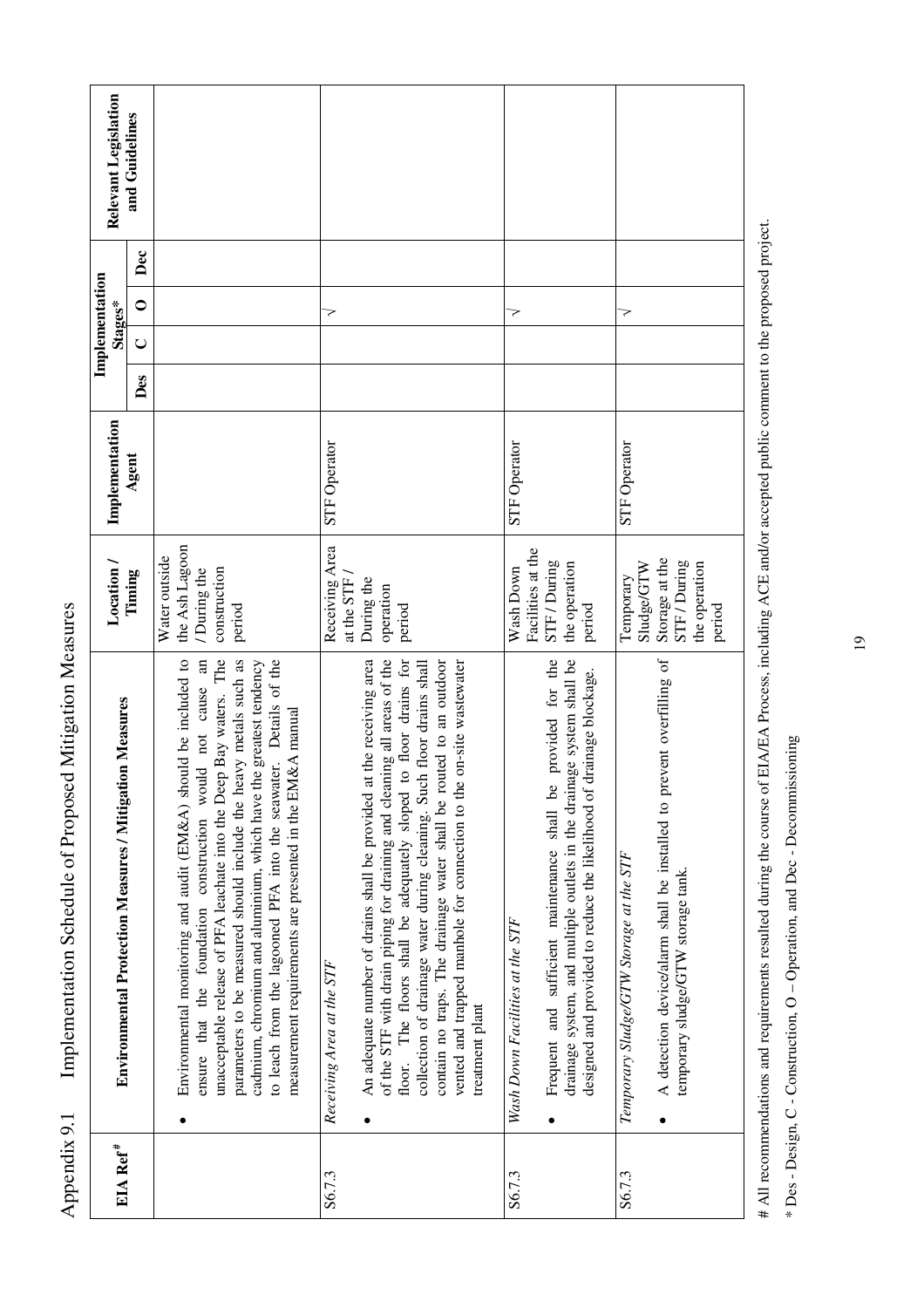| EIA Ref <sup>#</sup> | <b>Environmental Protection Measures / Mitigation Measures</b>                                                                                                                                                                                                                                                                                                                                                                                                                                       | Location/                                                                            | Implementation      |     | Implementation<br>Stages* |     | Relevant Legislation |
|----------------------|------------------------------------------------------------------------------------------------------------------------------------------------------------------------------------------------------------------------------------------------------------------------------------------------------------------------------------------------------------------------------------------------------------------------------------------------------------------------------------------------------|--------------------------------------------------------------------------------------|---------------------|-----|---------------------------|-----|----------------------|
|                      |                                                                                                                                                                                                                                                                                                                                                                                                                                                                                                      | Timing                                                                               | Agent               | Des | $\circ$<br>$\cup$         | Dec | and Guidelines       |
|                      | unacceptable release of PFA leachate into the Deep Bay waters. The<br>Environmental monitoring and audit (EM&A) should be included to<br>$\overline{a}$<br>parameters to be measured should include the heavy metals such as<br>to leach from the lagooned PFA into the seawater. Details of the<br>cadmium, chromium and aluminium, which have the greatest tendency<br>ensure that the foundation construction would not cause<br>measurement requirements are presented in the EM&A manual        | the Ash Lagoon<br>Water outside<br>construction<br>During the<br>period              |                     |     |                           |     |                      |
| S6.7.3               | An adequate number of drains shall be provided at the receiving area<br>of the STF with drain piping for draining and cleaning all areas of the<br>contain no traps. The drainage water shall be routed to an outdoor<br>to floor drains for<br>vented and trapped manhole for connection to the on-site wastewater<br>collection of drainage water during cleaning. Such floor drains shall<br>The floors shall be adequately sloped<br>Receiving Area at the STF<br>treatment plant<br>floor.<br>٠ | Receiving Area<br>at the STF /<br>During the<br>operation<br>period                  | <b>STF Operator</b> |     | 7                         |     |                      |
| S6.7.3               | provided for the<br>drainage system, and multiple outlets in the drainage system shall be<br>designed and provided to reduce the likelihood of drainage blockage.<br>Frequent and sufficient maintenance shall be<br>Wash Down Facilities at the STF                                                                                                                                                                                                                                                 | Facilities at the<br>STF / During<br>the operation<br>Wash Down<br>period            | STF Operator        |     | 7                         |     |                      |
| S6.7.3               | A detection device/alarm shall be installed to prevent overfilling of<br>Temporary Sludge/GTW Storage at the STF<br>temporary sludge/GTW storage tank.                                                                                                                                                                                                                                                                                                                                               | Storage at the<br>STF / During<br>Sludge/GTW<br>the operation<br>Temporary<br>period | <b>STF</b> Operator |     | 7                         |     |                      |

Appendix 9.1 Implementation Schedule of Proposed Mitigation Measures

Appendix 9.1

Implementation Schedule of Proposed Mitigation Measures

# All recommendations and requirements resulted during the course of ELA/EA Process, including ACE and/or accepted public comment to the proposed project. # All recommendations and requirements resulted during the course of EIA/EA Process, including ACE and/or accepted public comment to the proposed project.

\* Des - Design, C - Construction, O - Operation, and Dec - Decommissioning \* Des - Design, C - Construction, O – Operation, and Dec - Decommissioning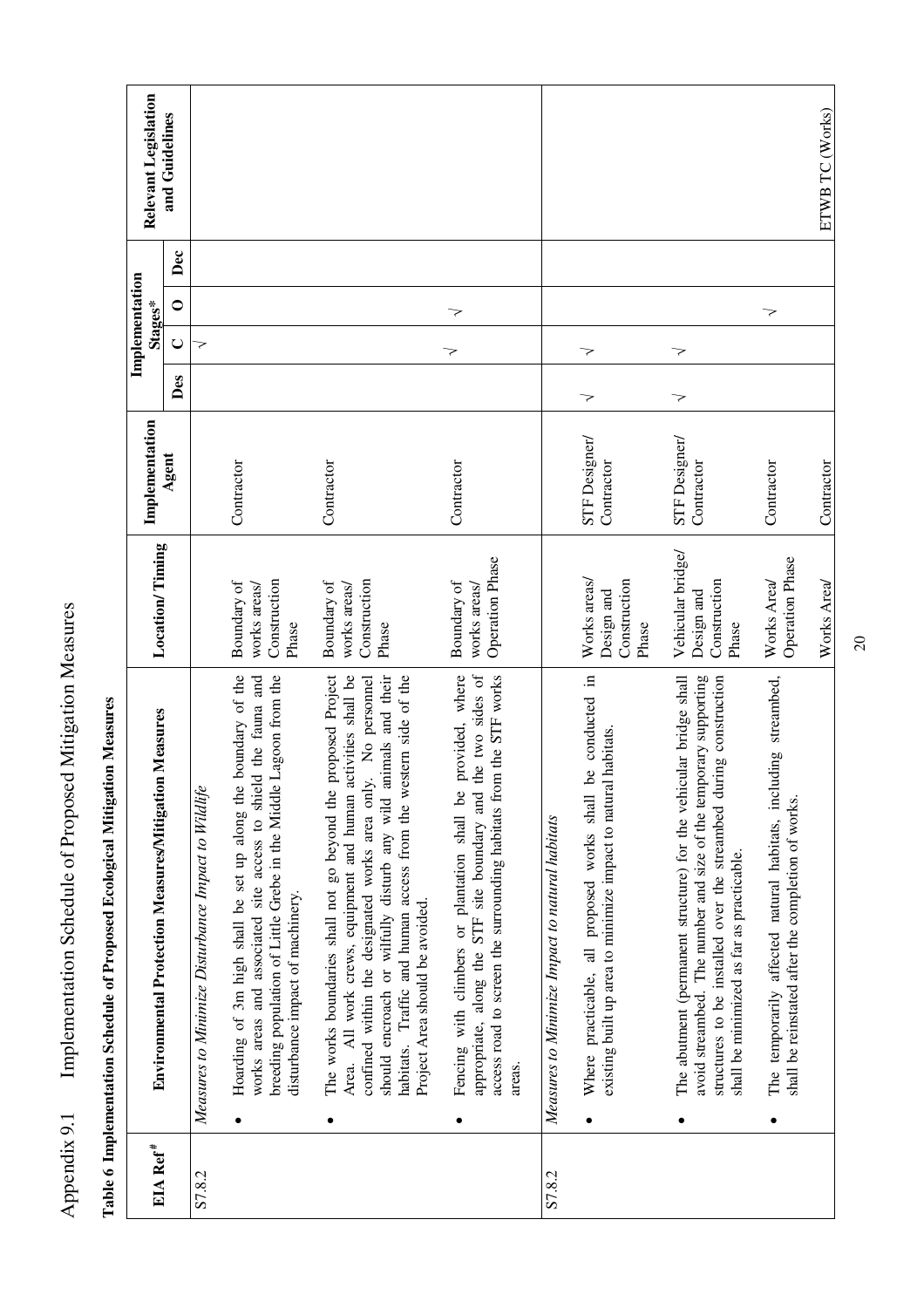|                      | Table 6 Implementation Schedule of Proposed Ecological Mitigation Measures                                                                                                                                                                                                                                                                                                          |                                                          |                             |     |                           |                  |                      |
|----------------------|-------------------------------------------------------------------------------------------------------------------------------------------------------------------------------------------------------------------------------------------------------------------------------------------------------------------------------------------------------------------------------------|----------------------------------------------------------|-----------------------------|-----|---------------------------|------------------|----------------------|
| EIA Ref <sup>#</sup> | Environmental Protection Measures/Mitigation Measures                                                                                                                                                                                                                                                                                                                               | <b>Location/Timing</b>                                   | Implementation              |     | Implementation<br>Stages* |                  | Relevant Legislation |
|                      |                                                                                                                                                                                                                                                                                                                                                                                     |                                                          | Agent                       | Des | $\cup$                    | Dec<br>$\bullet$ | and Guidelines       |
| S7.8.2               | Measures to Minimize Disturbance Impact to Wildlife                                                                                                                                                                                                                                                                                                                                 |                                                          |                             |     | 7                         |                  |                      |
|                      | boundary of the<br>works areas and associated site access to shield the fauna and<br>Lagoon from the<br>breeding population of Little Grebe in the Middle<br>Hoarding of 3m high shall be set up along the<br>disturbance impact of machinery.                                                                                                                                      | Construction<br>Boundary of<br>works areas/<br>Phase     | Contractor                  |     |                           |                  |                      |
|                      | proposed Project<br>should encroach or wilfully disturb any wild animals and their<br>Area. All work crews, equipment and human activities shall be<br>habitats. Traffic and human access from the western side of the<br>No personnel<br>confined within the designated works area only.<br>The works boundaries shall not go beyond the j<br>Project Area should be avoided.<br>٠ | Construction<br>Boundary of<br>works areas/<br>Phase     | Contractor                  |     |                           |                  |                      |
|                      | appropriate, along the STF site boundary and the two sides of<br>provided, where<br>access road to screen the surrounding habitats from the STF works<br>Fencing with climbers or plantation shall be<br>areas.<br>٠                                                                                                                                                                | <b>Operation Phase</b><br>Boundary of<br>works areas/    | Contractor                  |     | 7<br>7                    |                  |                      |
| S7.8.2               | Measures to Minimize Impact to natural habitats                                                                                                                                                                                                                                                                                                                                     |                                                          |                             |     |                           |                  |                      |
|                      | Where practicable, all proposed works shall be conducted in<br>existing built up area to minimize impact to natural habitats.                                                                                                                                                                                                                                                       | Works areas/<br>Construction<br>Design and<br>Phase      | STF Designer/<br>Contractor | 7   | 7                         |                  |                      |
|                      | avoid streambed. The number and size of the temporary supporting<br>structures to be installed over the streambed during construction<br>The abutment (permanent structure) for the vehicular bridge shall<br>shall be minimized as far as practicable.                                                                                                                             | Vehicular bridge/<br>Construction<br>Design and<br>Phase | STF Designer/<br>Contractor | 7   | 7                         |                  |                      |
|                      | The temporarily affected natural habitats, including streambed,<br>shall be reinstated after the completion of works.                                                                                                                                                                                                                                                               | <b>Operation Phase</b><br>Works Area/                    | Contractor                  |     | 7                         |                  |                      |
|                      |                                                                                                                                                                                                                                                                                                                                                                                     | Works Area/                                              | Contractor                  |     |                           |                  | ETWB TC (Works)      |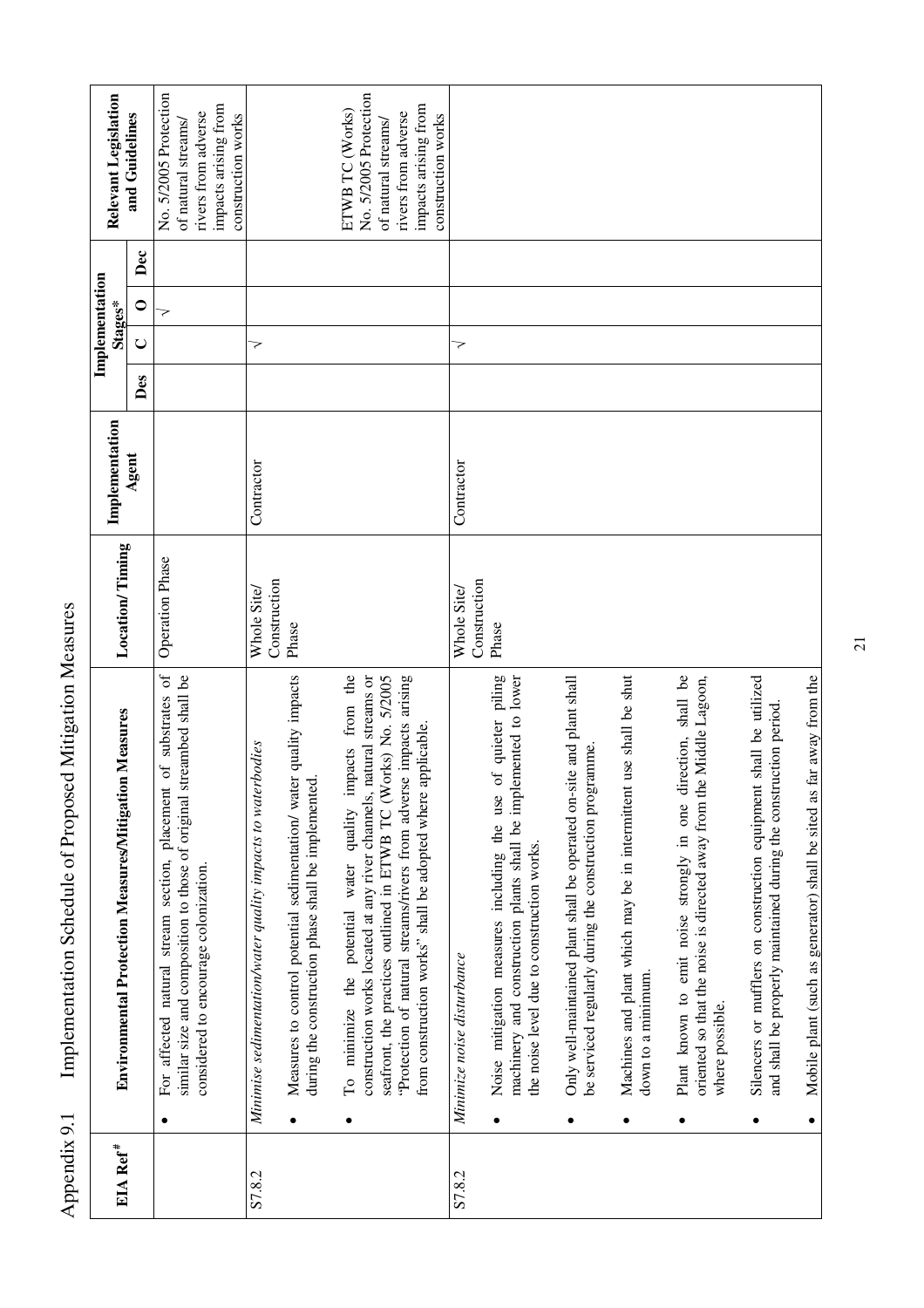|                      |                                                                                                                                                                                   |                             | Implementation |     | Implementation<br>Stages* |     | Relevant Legislation                         |
|----------------------|-----------------------------------------------------------------------------------------------------------------------------------------------------------------------------------|-----------------------------|----------------|-----|---------------------------|-----|----------------------------------------------|
| EIA Ref <sup>#</sup> | Environmental Protection Measures/Mitigation Measures                                                                                                                             | <b>Location/Timing</b>      | Agent          |     |                           |     | and Guidelines                               |
|                      |                                                                                                                                                                                   |                             |                | Des | $\bullet$<br>$\cup$       | Dec |                                              |
|                      | $\sigma$<br>similar size and composition to those of original streambed shall be<br>of substrates<br>For affected natural stream section, placement<br>$\bullet$                  | <b>Operation Phase</b>      |                |     | 7                         |     | No. 5/2005 Protection<br>of natural streams/ |
|                      | considered to encourage colonization.                                                                                                                                             |                             |                |     |                           |     | impacts arising from<br>rivers from adverse  |
|                      |                                                                                                                                                                                   |                             |                |     |                           |     | construction works                           |
| S7.8.2               | Minimise sedimentation/water quality impacts to waterbodies                                                                                                                       | Construction<br>Whole Site/ | Contractor     |     | 7                         |     |                                              |
|                      | Measures to control potential sedimentation/ water quality impacts<br>during the construction phase shall be implemented.                                                         | Phase                       |                |     |                           |     |                                              |
|                      | To minimize the potential water quality impacts from the<br>construction works located at any river channels, natural streams or<br>$\bullet$                                     |                             |                |     |                           |     | No. 5/2005 Protection<br>ETWB TC (Works)     |
|                      | seafront, the practices outlined in ETWB TC (Works) No. 5/2005                                                                                                                    |                             |                |     |                           |     | rivers from adverse<br>of natural streams/   |
|                      | "Protection of natural streams/rivers from adverse impacts arising<br>from construction works" shall be adopted where applicable.                                                 |                             |                |     |                           |     | impacts arising from<br>construction works   |
| S7.8.2               | Minimize noise disturbance                                                                                                                                                        | Construction<br>Whole Site/ | Contractor     |     | 7                         |     |                                              |
|                      | of quieter piling<br>machinery and construction plants shall be implemented to lower<br>Noise mitigation measures including the use<br>the noise level due to construction works. | Phase                       |                |     |                           |     |                                              |
|                      |                                                                                                                                                                                   |                             |                |     |                           |     |                                              |
|                      | Only well-maintained plant shall be operated on-site and plant shall<br>be serviced regularly during the construction programme<br>$\bullet$                                      |                             |                |     |                           |     |                                              |
|                      | use shall be shut<br>Machines and plant which may be in intermittent<br>down to a minimum.<br>٠                                                                                   |                             |                |     |                           |     |                                              |
|                      | Plant known to emit noise strongly in one direction, shall be<br>oriented so that the noise is directed away from the Middle Lagoon,<br>where possible.<br>٠                      |                             |                |     |                           |     |                                              |
|                      | shall be utilized<br>and shall be properly maintained during the construction period.<br>Silencers or mufflers on construction equipment                                          |                             |                |     |                           |     |                                              |
|                      | Mobile plant (such as generator) shall be sited as far away from the<br>$\bullet$                                                                                                 |                             |                |     |                           |     |                                              |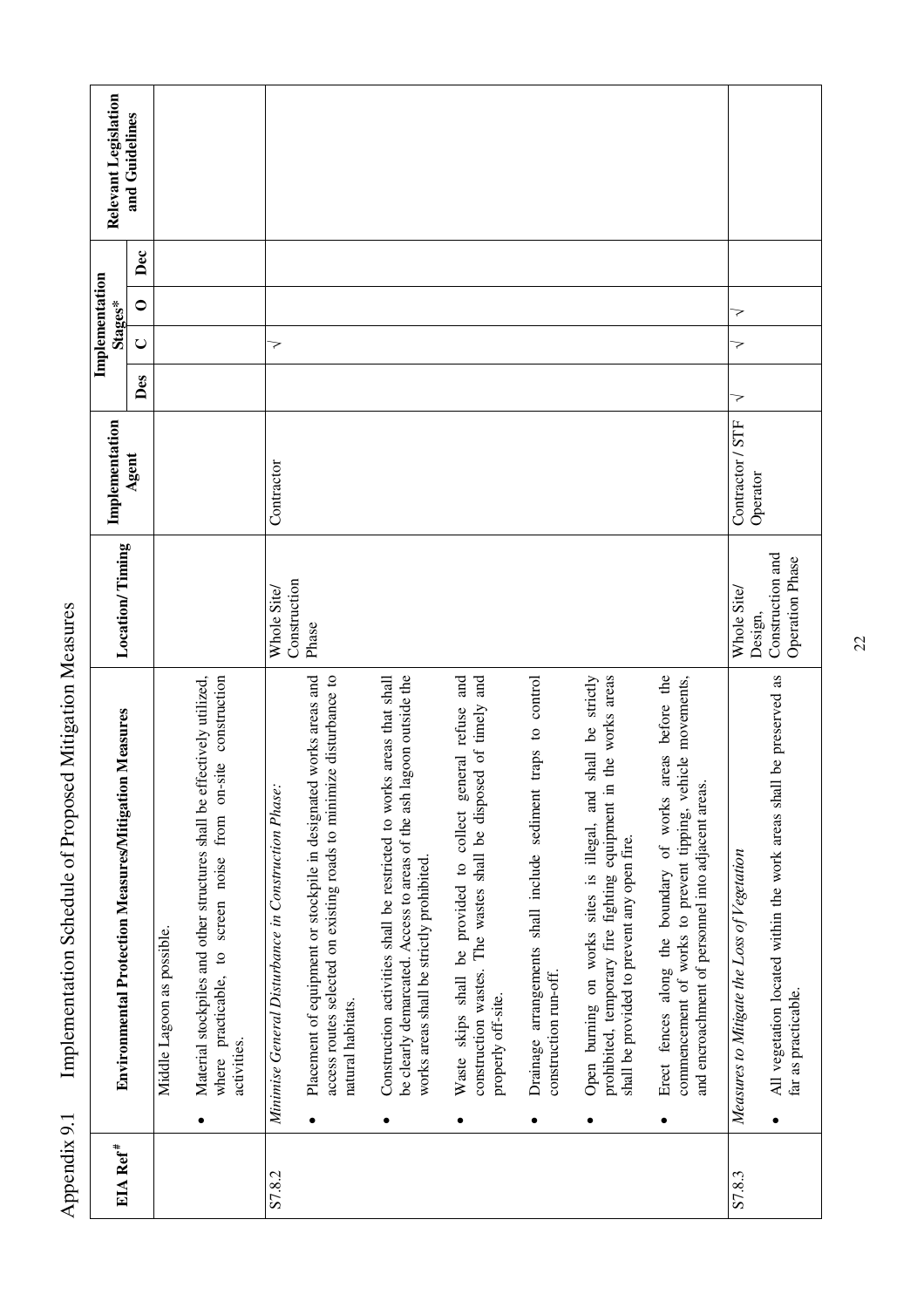| EIA Ref <sup>#</sup> | Environmental Protection Measures/Mitigation Measures                                                                                                                                              | Location/Timing                            | Implementation   |     | Implementation<br>Stages* |                | Relevant Legislation |
|----------------------|----------------------------------------------------------------------------------------------------------------------------------------------------------------------------------------------------|--------------------------------------------|------------------|-----|---------------------------|----------------|----------------------|
|                      |                                                                                                                                                                                                    |                                            | Agent            | Des | $\cup$                    | Dec<br>$\circ$ | and Guidelines       |
|                      | Middle Lagoon as possible.                                                                                                                                                                         |                                            |                  |     |                           |                |                      |
|                      | Material stockpiles and other structures shall be effectively utilized,<br>where practicable, to screen noise from on-site construction<br>activities.<br>٠                                        |                                            |                  |     |                           |                |                      |
| S7.8.2               | Minimise General Disturbance in Construction Phase:                                                                                                                                                | Construction<br>Whole Site/                | Contractor       |     | 7                         |                |                      |
|                      | access routes selected on existing roads to minimize disturbance to<br>Placement of equipment or stockpile in designated works areas and<br>natural habitats.                                      | Phase                                      |                  |     |                           |                |                      |
|                      | goon outside the<br>Construction activities shall be restricted to works areas that shall<br>be clearly demarcated. Access to areas of the ash la<br>works areas shall be strictly prohibited<br>٠ |                                            |                  |     |                           |                |                      |
|                      | Waste skips shall be provided to collect general refuse and<br>construction wastes. The wastes shall be disposed of timely and<br>properly off-site.<br>٠                                          |                                            |                  |     |                           |                |                      |
|                      | control<br>$\mathbf{c}$<br>traps<br>Drainage arrangements shall include sediment<br>construction run-off.<br>٠                                                                                     |                                            |                  |     |                           |                |                      |
|                      | the works areas<br>shall be strictly<br>prohibited, temporary fire fighting equipment in<br>Open burning on works sites is illegal, and<br>shall be provided to prevent any open fire.<br>٠        |                                            |                  |     |                           |                |                      |
|                      | Erect fences along the boundary of works areas before the<br>commencement of works to prevent tipping, vehicle movements,<br>and encroachment of personnel into adjacent areas.<br>٠               |                                            |                  |     |                           |                |                      |
| S7.8.3               | Measures to Mitigate the Loss of Vegetation                                                                                                                                                        | Whole Site/<br>Design,                     | Contractor / STF | 7   | 7<br>7                    |                |                      |
|                      | be preserved as<br>All vegetation located within the work areas shall<br>far as practicable.                                                                                                       | Construction and<br><b>Operation Phase</b> | Operator         |     |                           |                |                      |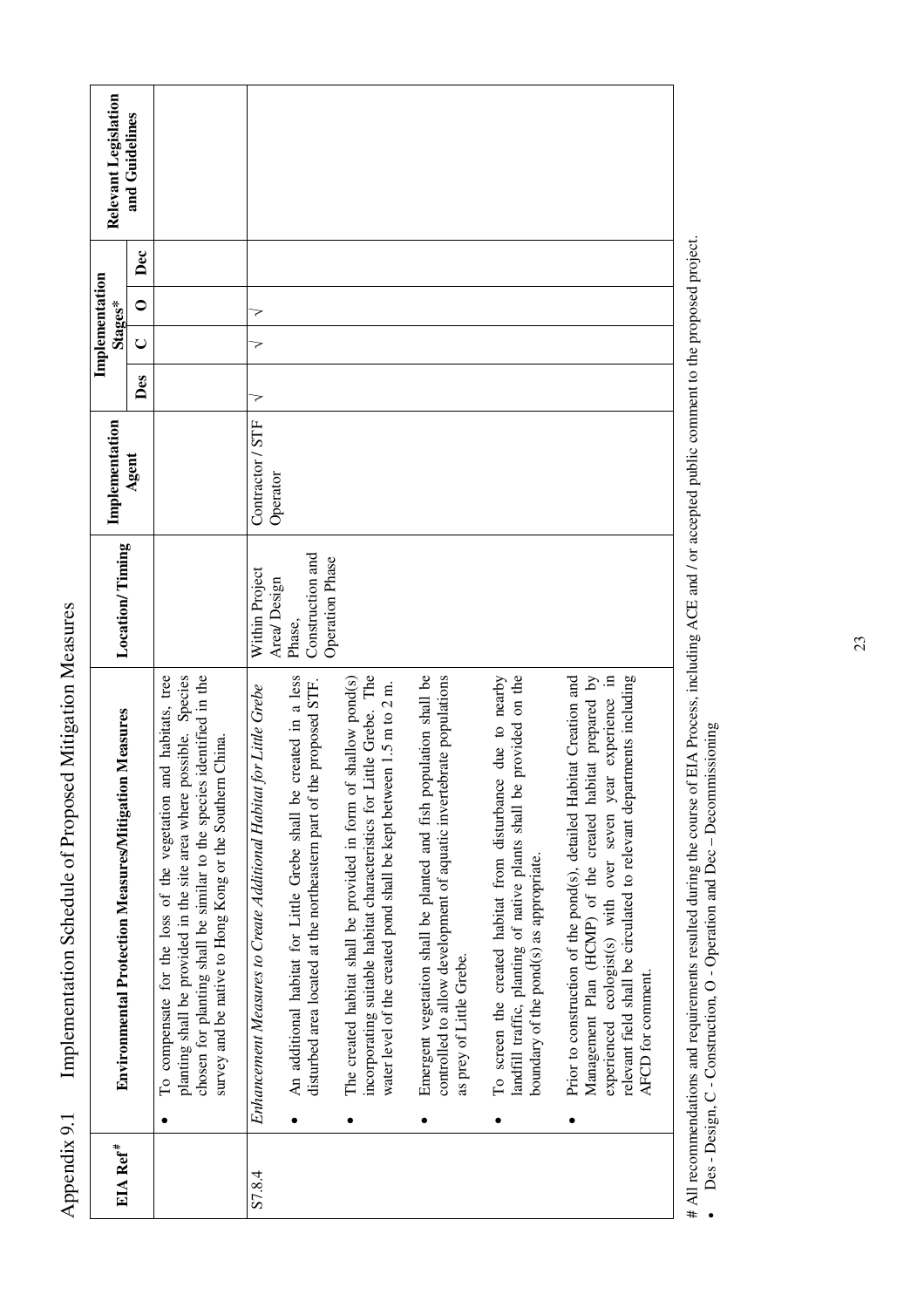| EIA Ref <sup>#</sup> | <b>Environmental Protection Measures/Mitigation Measures</b>                                                                                                                                                                                                                                 | Location/Timing                                      | Implementation               |     | Implementation<br>Stages* |                  | Relevant Legislation |
|----------------------|----------------------------------------------------------------------------------------------------------------------------------------------------------------------------------------------------------------------------------------------------------------------------------------------|------------------------------------------------------|------------------------------|-----|---------------------------|------------------|----------------------|
|                      |                                                                                                                                                                                                                                                                                              |                                                      | Agent                        | Des | $\cup$                    | Dec<br>$\bullet$ | and Guidelines       |
|                      | To compensate for the loss of the vegetation and habitats, tree<br>planting shall be provided in the site area where possible. Species<br>chosen for planting shall be similar to the species identified in the<br>survey and be native to Hong Kong or the Southern China.                  |                                                      |                              |     |                           |                  |                      |
| S7.8.4               | Enhancement Measures to Create Additional Habitat for Little Grebe                                                                                                                                                                                                                           | Within Project<br>Area/Design                        | Contractor / STF<br>Operator | 7   | 7<br>7                    |                  |                      |
|                      | created in a less<br>disturbed area located at the northeastern part of the proposed STF.<br>An additional habitat for Little Grebe shall be                                                                                                                                                 | Construction and<br><b>Operation Phase</b><br>Phase, |                              |     |                           |                  |                      |
|                      | incorporating suitable habitat characteristics for Little Grebe. The<br>shallow pond(s)<br>water level of the created pond shall be kept between 1.5 m to 2 m.<br>The created habitat shall be provided in form of                                                                           |                                                      |                              |     |                           |                  |                      |
|                      | Emergent vegetation shall be planted and fish population shall be<br>controlled to allow development of aquatic invertebrate populations<br>as prey of Little Grebe.                                                                                                                         |                                                      |                              |     |                           |                  |                      |
|                      | due to nearby<br>provided on the<br>To screen the created habitat from disturbance<br>landfill traffic, planting of native plants shall be<br>boundary of the pond(s) as appropriate.                                                                                                        |                                                      |                              |     |                           |                  |                      |
|                      | experienced ecologist(s) with over seven year experience in<br>Prior to construction of the pond(s), detailed Habitat Creation and<br>Management Plan (HCMP) of the created habitat prepared by<br>relevant field shall be circulated to relevant departments including<br>AFCD for comment. |                                                      |                              |     |                           |                  |                      |

# All recommendations and requirements resulted during the course of EIA Process, including ACE and / or accepted public comment to the proposed project. # All recommendations and requirements resulted during the course of EIA Process, including ACE and / or accepted public comment to the proposed project.<br>• Des - Design, C - Construction, O - Operation and Dec – Decommissi

Des - Design, C - Construction, O - Operation and Dec – Decommissioning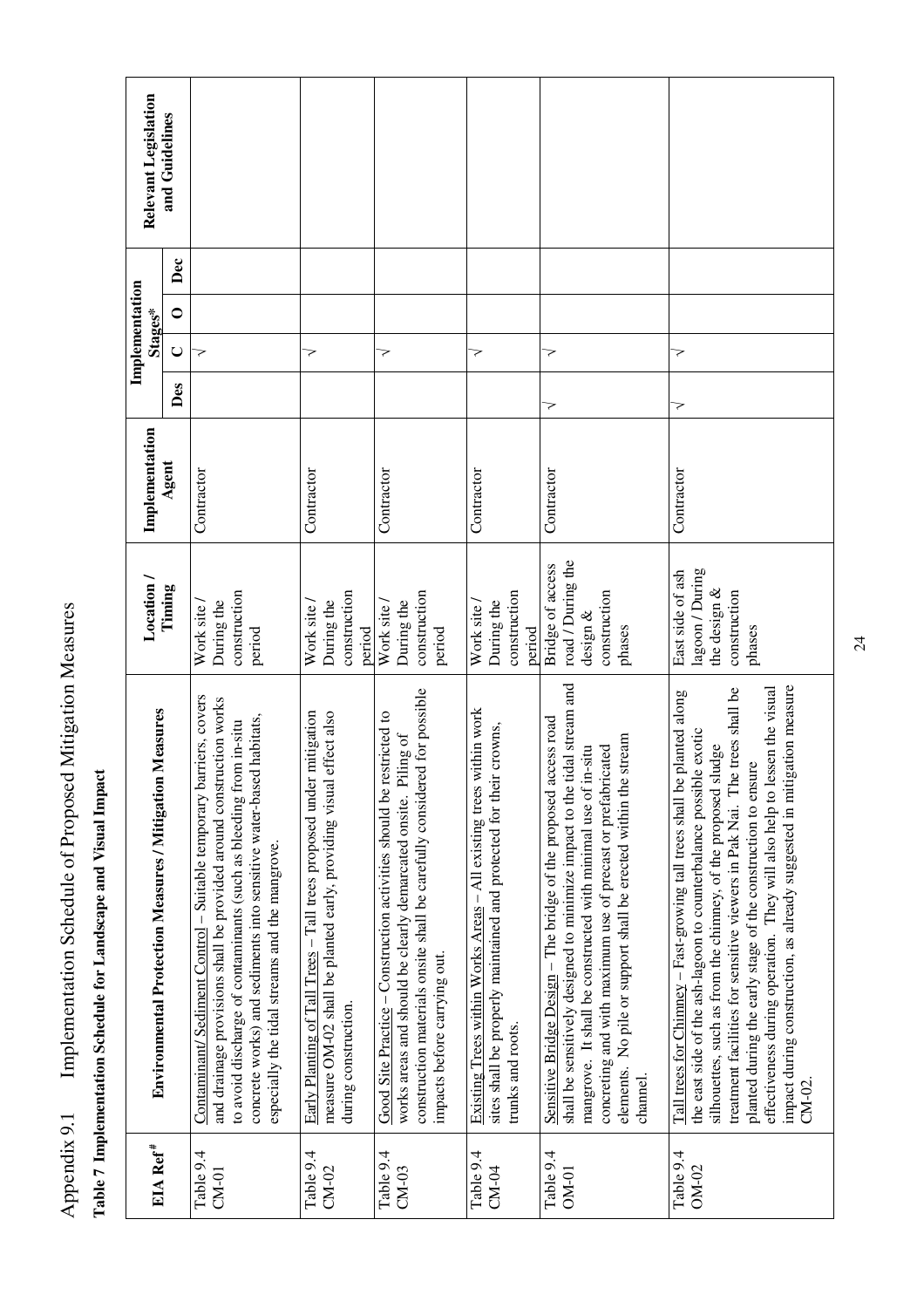| <b>Environmental Protection Measures / Mitigation Measures</b>                                                                                                                                                                                                                                                                                                                                                                                                                                                                     | Location/                                                                        | Implementation |     | Stages* | Implementation |     | Relevant Legislation |
|------------------------------------------------------------------------------------------------------------------------------------------------------------------------------------------------------------------------------------------------------------------------------------------------------------------------------------------------------------------------------------------------------------------------------------------------------------------------------------------------------------------------------------|----------------------------------------------------------------------------------|----------------|-----|---------|----------------|-----|----------------------|
|                                                                                                                                                                                                                                                                                                                                                                                                                                                                                                                                    | Timing                                                                           | Agent          | Des | $\cup$  | $\bullet$      | Dec | and Guidelines       |
| Contaminant/Sediment Control - Suitable temporary barriers, covers<br>and drainage provisions shall be provided around construction works<br>concrete works) and sediments into sensitive water-based habitats,<br>to avoid discharge of contaminants (such as bleeding from in-situ<br>especially the tidal streams and the mangrove.                                                                                                                                                                                             | construction<br>During the<br>Work site<br>period                                | Contractor     |     | ⋜       |                |     |                      |
| Early Planting of Tall Trees - Tall trees proposed under mitigation<br>effect also<br>measure OM-02 shall be planted early, providing visual<br>during construction.                                                                                                                                                                                                                                                                                                                                                               | construction<br>During the<br>Work site<br>period                                | Contractor     |     | 7       |                |     |                      |
| construction materials onsite shall be carefully considered for possible<br>Good Site Practice – Construction activities should be restricted to<br>works areas and should be clearly demarcated onsite. Piling of<br>impacts before carrying out.                                                                                                                                                                                                                                                                                 | construction<br>During the<br>Work site<br>period                                | Contractor     |     | >       |                |     |                      |
| Existing Trees within Works Areas $-$ All existing trees within work<br>sites shall be properly maintained and protected for their crowns,<br>trunks and roots.                                                                                                                                                                                                                                                                                                                                                                    | construction<br>During the<br>Work site<br>period                                | Contractor     |     | 7       |                |     |                      |
| shall be sensitively designed to minimize impact to the tidal stream and<br>Sensitive Bridge Design - The bridge of the proposed access road<br>stream<br>mangrove. It shall be constructed with minimal use of in-situ<br>concreting and with maximum use of precast or prefabricated<br>elements. No pile or support shall be erected within the<br>channel.                                                                                                                                                                     | road / During the<br>Bridge of access<br>construction<br>design $\&$<br>phases   | Contractor     | >   | >       |                |     |                      |
| gation measure<br>effectiveness during operation. They will also help to lessen the visual<br>treatment facilities for sensitive viewers in Pak Nai. The trees shall be<br>planted along<br>the east side of the ash-lagoon to counterbalance possible exotic<br>silhouettes, such as from the chimney, of the proposed sludge<br>planted during the early stage of the construction to ensure<br>Tall trees for Chinney – Fast-growing tall trees shall be<br>impact during construction, as already suggested in miti<br>$CM-02$ | lagoon / During<br>East side of ash<br>the design $\&$<br>construction<br>phases | Contractor     | 7   | 7       |                |     |                      |

**Table 7 Implementation Schedule for Landscape and Visual Impact** 

Table 7 Implementation Schedule for Landscape and Visual Impact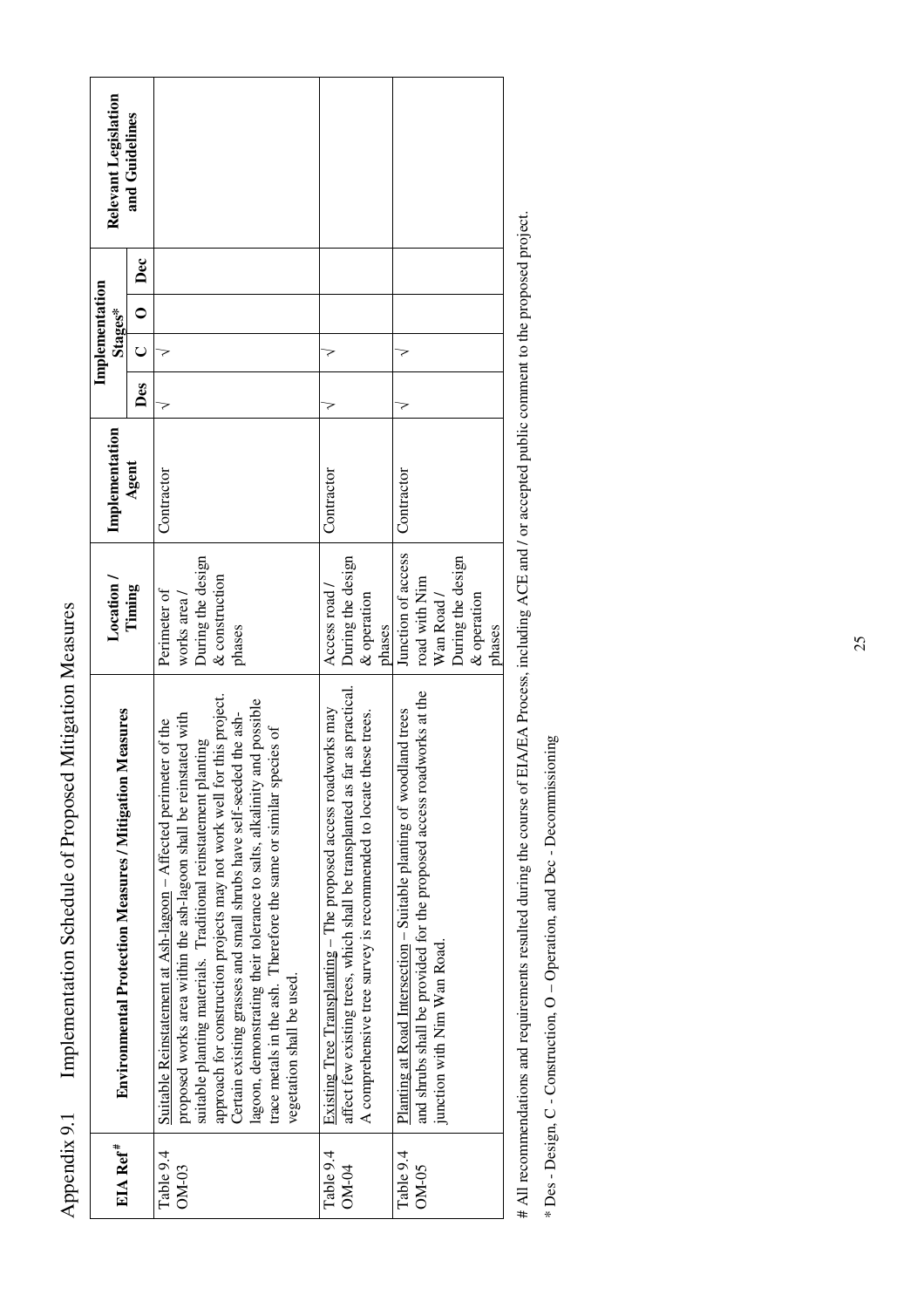| EIA Ref <sup>#</sup> | <b>Environmental Protection Measures / Mitigation Measures</b>                                                                                                                                                                                                                                                                                                                                                                                                                                                                          | Location /                                                                                      | Implementation |     | Implementation<br>Stages* |                | Relevant Legislation |
|----------------------|-----------------------------------------------------------------------------------------------------------------------------------------------------------------------------------------------------------------------------------------------------------------------------------------------------------------------------------------------------------------------------------------------------------------------------------------------------------------------------------------------------------------------------------------|-------------------------------------------------------------------------------------------------|----------------|-----|---------------------------|----------------|----------------------|
|                      |                                                                                                                                                                                                                                                                                                                                                                                                                                                                                                                                         | Timing                                                                                          | Agent          | Des | U                         | Dec<br>$\circ$ | and Guidelines       |
| Table 9.4<br>$OM-03$ | approach for construction projects may not work well for this project.<br>lagoon, demonstrating their tolerance to salts, alkalinity and possible<br>Certain existing grasses and small shrubs have self-seeded the ash-<br>proposed works area within the ash-lagoon shall be reinstated with<br>Suitable Reinstatement at Ash-lagoon – Affected perimeter of the<br>trace metals in the ash. Therefore the same or similar species of<br>suitable planting materials. Traditional reinstatement planting<br>vegetation shall be used. | During the design<br>& construction<br>Perimeter of<br>works area<br>phases                     | Contractor     |     |                           |                |                      |
| Table 9.4<br>$OM-04$ | affect few existing trees, which shall be transplanted as far as practical.<br>Existing Tree Transplanting - The proposed access roadworks may<br>A comprehensive tree survey is recommended to locate these trees.                                                                                                                                                                                                                                                                                                                     | During the design<br>Access road /<br>& operation<br>phases                                     | Contractor     |     |                           |                |                      |
| Table 9.4<br>$OM-05$ | and shrubs shall be provided for the proposed access roadworks at the<br>Planting at Road Intersection – Suitable planting of woodland trees<br>junction with Nim Wan Road.                                                                                                                                                                                                                                                                                                                                                             | Junction of access<br>During the design<br>road with Nim<br>Wan Road /<br>& operation<br>phases | Contractor     |     |                           |                |                      |

Appendix 9.1 Implementation Schedule of Proposed Mitigation Measures

Appendix 9.1

Implementation Schedule of Proposed Mitigation Measures

# All recommendations and requirements resulted during the course of EIA/EA Process, including ACE and / or accepted public comment to the proposed project. # All recommendations and requirements resulted during the course of EIA/EA Process, including ACE and / or accepted public comment to the proposed project.

\* Des - Design, C - Construction, O - Operation, and Dec - Decommissioning \* Des - Design, C - Construction, O – Operation, and Dec - Decommissioning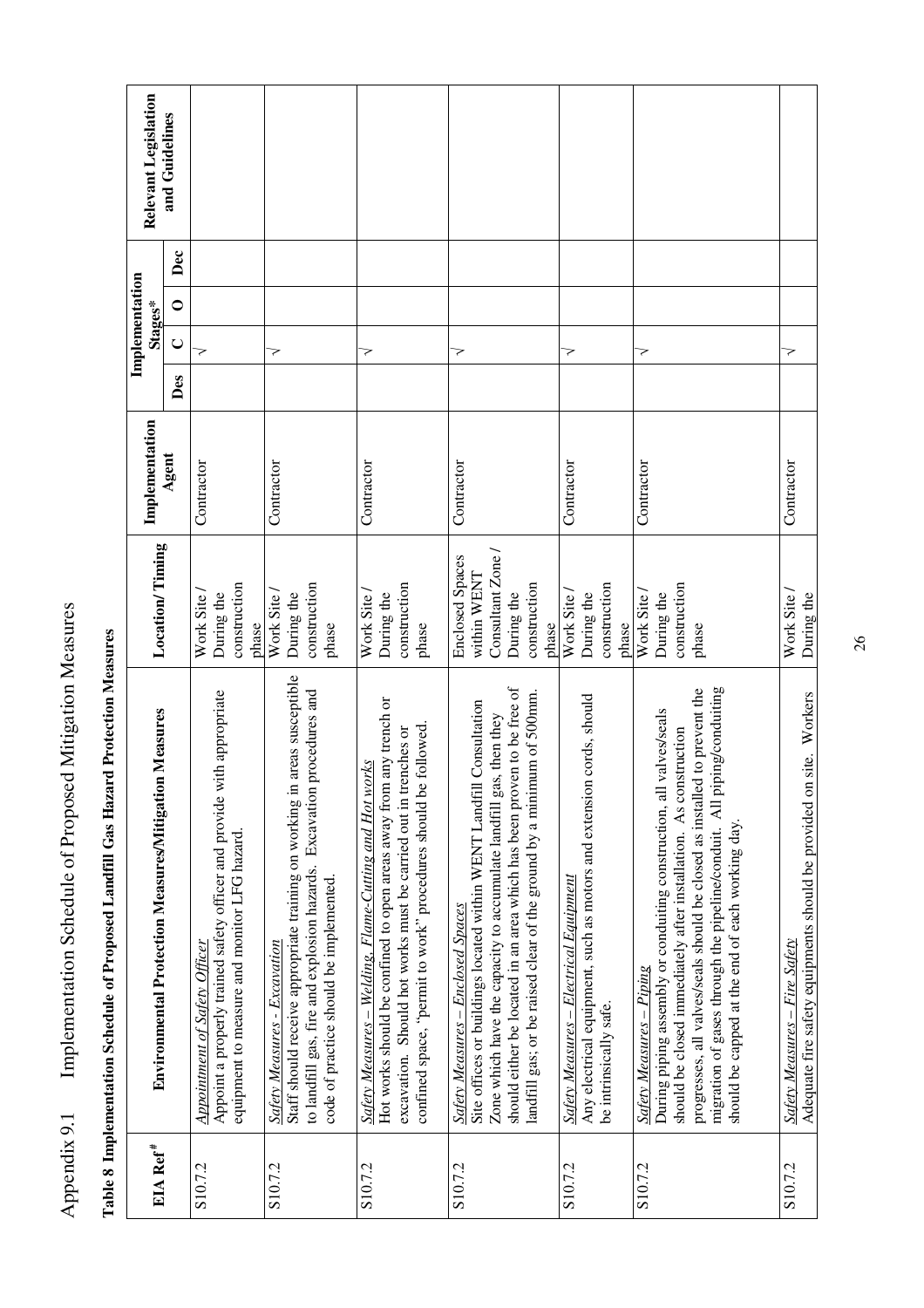| I<br>Ì<br>۱<br>ï                        |
|-----------------------------------------|
| くらいこ<br>l<br>ļ<br>:<br>.<br>.<br>.<br>l |
| ;<br>;<br>ť<br>i<br>J                   |
| I,<br>ĺ<br>֚֘                           |

|                      |                                                                                                                                                                                                                                                                                                                                                                                               |                                                                                                   |                |     | Implementation |                |                      |
|----------------------|-----------------------------------------------------------------------------------------------------------------------------------------------------------------------------------------------------------------------------------------------------------------------------------------------------------------------------------------------------------------------------------------------|---------------------------------------------------------------------------------------------------|----------------|-----|----------------|----------------|----------------------|
| EIA Ref <sup>#</sup> | Environmental Protection Measures/Mitigation Measures                                                                                                                                                                                                                                                                                                                                         | <b>Location/Timing</b>                                                                            | Implementation |     | Stages*        |                | Relevant Legislation |
|                      |                                                                                                                                                                                                                                                                                                                                                                                               |                                                                                                   | Agent          | Des | $\cup$         | Dec<br>$\circ$ | and Guidelines       |
| S10.7.2              | Appoint a properly trained safety officer and provide with appropriate<br>equipment to measure and monitor LFG hazard.<br>Appointment of Safety Officer                                                                                                                                                                                                                                       | construction<br>Work Site<br>During the<br>phase                                                  | Contractor     |     | マ              |                |                      |
| S10.7.2              | areas susceptible<br>procedures and<br>Staff should receive appropriate training on working in<br>to landfill gas, fire and explosion hazards. Excavation<br>code of practice should be implemented.<br>Safety Measures - Excavation                                                                                                                                                          | construction<br>Work Site<br>During the<br>phase                                                  | Contractor     |     | マ              |                |                      |
| S10.7.2              | Hot works should be confined to open areas away from any trench or<br>confined space, "permit to work" procedures should be followed.<br>excavation. Should hot works must be carried out in trenches or<br>Safety Measures – Welding, Flame-Cutting and Hot works                                                                                                                            | construction<br>Work Site<br>During the<br>phase                                                  | Contractor     |     | >              |                |                      |
| S10.7.2              | should either be located in an area which has been proven to be free of<br>landfill gas; or be raised clear of the ground by a minimum of 500mm.<br>Site offices or buildings located within WENT Landfill Consultation<br>Zone which have the capacity to accumulate landfill gas, then they<br>Safety Measures – Enclosed Spaces                                                            | Consultant Zone /<br><b>Enclosed Spaces</b><br>within WENT<br>construction<br>During the<br>phase | Contractor     |     | >              |                |                      |
| S10.7.2              | cords, should<br>Any electrical equipment, such as motors and extension<br>Safety Measures – Electrical Equipment<br>be intrinsically safe.                                                                                                                                                                                                                                                   | construction<br>During the<br>Work Site<br>phase                                                  | Contractor     |     | 7              |                |                      |
| S <sub>10.7.2</sub>  | ping/conduiting<br>progresses, all valves/seals should be closed as installed to prevent the<br>valves/seals<br>should be closed immediately after installation. As construction<br>migration of gases through the pipeline/conduit. All pip<br>During piping assembly or conduiting construction, all<br>should be capped at the end of each working day<br><u> Safety Measures – Piping</u> | construction<br>During the<br>Work Site<br>phase                                                  | Contractor     |     | マ              |                |                      |
| S <sub>10.7.2</sub>  | Adequate fire safety equipments should be provided on site. Workers<br><b>Safety Measures - Fire Safety</b>                                                                                                                                                                                                                                                                                   | Work Site<br>During the                                                                           | Contractor     |     | マ              |                |                      |

Table 8 Implementation Schedule of Proposed Landfill Gas Hazard Protection Measures **Table 8 Implementation Schedule of Proposed Landfill Gas Hazard Protection Measures**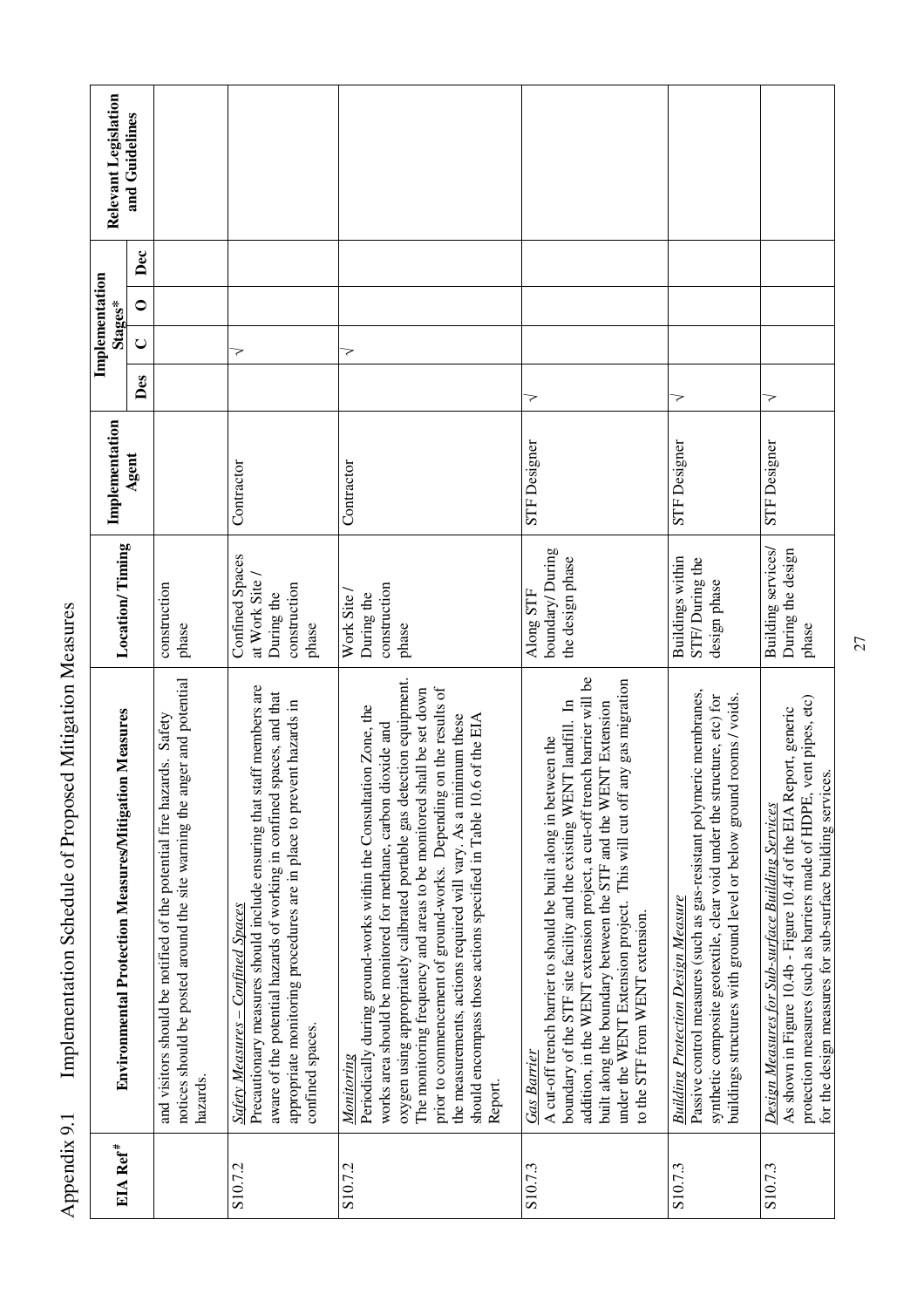| EIA Ref <sup>#</sup> | Environmental Protection Measures/Mitigation Measures                                                                                                                                                                                                                                                                                                                                                                                                                                                                              | <b>Location/Timing</b>                                                   | Implementation      |     | Implementation<br>Stages* |                | Relevant Legislation |
|----------------------|------------------------------------------------------------------------------------------------------------------------------------------------------------------------------------------------------------------------------------------------------------------------------------------------------------------------------------------------------------------------------------------------------------------------------------------------------------------------------------------------------------------------------------|--------------------------------------------------------------------------|---------------------|-----|---------------------------|----------------|----------------------|
|                      |                                                                                                                                                                                                                                                                                                                                                                                                                                                                                                                                    |                                                                          | Agent               | Des | $\cup$                    | Dec<br>$\circ$ | and Guidelines       |
|                      | notices should be posted around the site warning the anger and potential<br>and visitors should be notified of the potential fire hazards. Safety<br>hazards.                                                                                                                                                                                                                                                                                                                                                                      | construction<br>phase                                                    |                     |     |                           |                |                      |
| S10.7.2              | Precautionary measures should include ensuring that staff members are<br>aware of the potential hazards of working in confined spaces, and that<br>appropriate monitoring procedures are in place to prevent hazards in<br><b>Safety Measures - Confined Spaces</b><br>confined spaces.                                                                                                                                                                                                                                            | Confined Spaces<br>at Work Site /<br>construction<br>During the<br>phase | Contractor          |     | 7                         |                |                      |
| S10.7.2              | oxygen using appropriately calibrated portable gas detection equipment.<br>prior to commencement of ground-works. Depending on the results of<br>The monitoring frequency and areas to be monitored shall be set down<br>Periodically during ground-works within the Consultation Zone, the<br>the measurements, actions required will vary. As a minimum these<br>of the EIA<br>works area should be monitored for methane, carbon dioxide and<br>should encompass those actions specified in Table 10.6<br>Monitoring<br>Report. | construction<br>Work Site<br>During the<br>phase                         | Contractor          |     | >                         |                |                      |
| S10.7.3              | addition, in the WENT extension project, a cut-off trench barrier will be<br>under the WENT Extension project. This will cut off any gas migration<br>boundary of the STF site facility and the existing WENT landfill. In<br>built along the boundary between the STF and the WENT Extension<br>A cut-off trench barrier to should be built along in between the<br>to the STF from WENT extension.<br><b>Gas Barrier</b>                                                                                                         | boundary/During<br>the design phase<br>Along STF                         | <b>STF</b> Designer | マ   |                           |                |                      |
| S10.7.3              | Passive control measures (such as gas-resistant polymeric membranes,<br>synthetic composite geotextile, clear void under the structure, etc) for<br>buildings structures with ground level or below ground rooms / voids.<br><b>Building Protection Design Measure</b>                                                                                                                                                                                                                                                             | Buildings within<br>STF/During the<br>design phase                       | <b>STF</b> Designer | 7   |                           |                |                      |
| S10.7.3              | protection measures (such as barriers made of HDPE, vent pipes, etc)<br>As shown in Figure 10.4b - Figure 10.4f of the EIA Report, generic<br>for the design measures for sub-surface building services.<br>Design Measures for Sub-surface Building Services                                                                                                                                                                                                                                                                      | Building services/<br>During the design<br>phase                         | <b>STF</b> Designer | マ   |                           |                |                      |